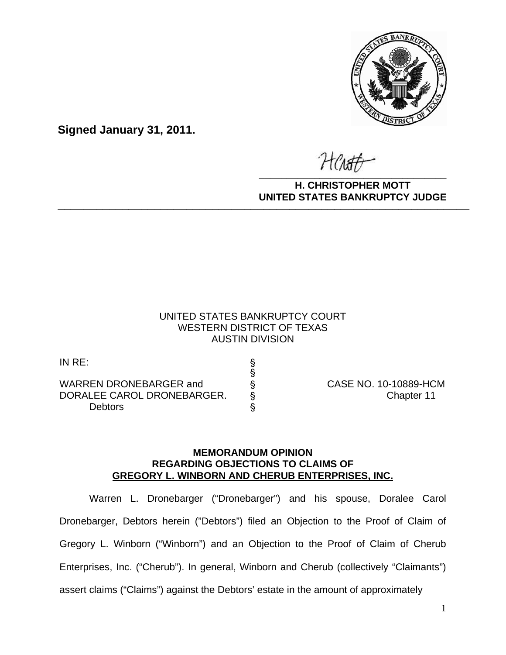

**Signed January 31, 2011.**

**\_\_\_\_\_\_\_\_\_\_\_\_\_\_\_\_\_\_\_\_\_\_\_\_\_\_\_\_\_\_\_\_\_\_**

**H. CHRISTOPHER MOTT UNITED STATES BANKRUPTCY JUDGE PATTED DRIVING TOT 00DCL** 

# UNITED STATES BANKRUPTCY COURT WESTERN DISTRICT OF TEXAS AUSTIN DIVISION

S<br>S<br>S

IN RE: ' WARREN DRONEBARGER and  $\qquad \qquad \S$  CASE NO. 10-10889-HCM DORALEE CAROL DRONEBARGER. 
S Debtors **San Sales San San Sales San Sales San Sales San Sales San Sales San Sales San Sales San Sales San Sales San Sales San Sales San Sales San Sales San Sales San Sales San Sales San Sales San Sales San Sales San Sales** 

## **MEMORANDUM OPINION REGARDING OBJECTIONS TO CLAIMS OF GREGORY L. WINBORN AND CHERUB ENTERPRISES, INC.**

Warren L. Dronebarger ("Dronebarger") and his spouse, Doralee Carol Dronebarger, Debtors herein ("Debtors") filed an Objection to the Proof of Claim of Gregory L. Winborn ("Winborn") and an Objection to the Proof of Claim of Cherub Enterprises, Inc. ("Cherub"). In general, Winborn and Cherub (collectively "Claimants") assert claims ("Claims") against the Debtors' estate in the amount of approximately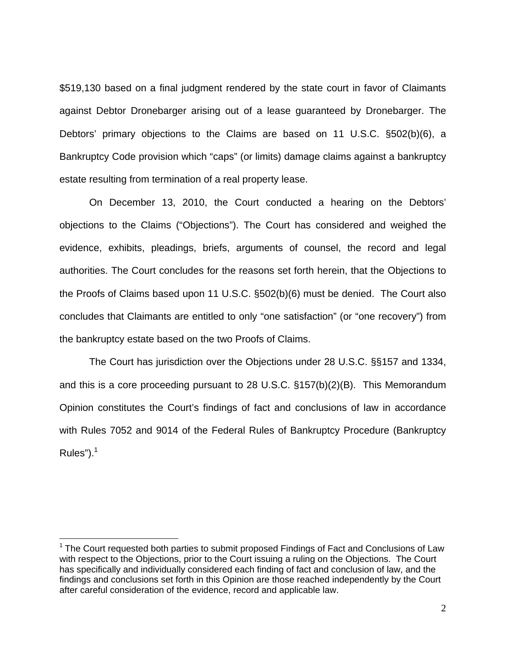\$519,130 based on a final judgment rendered by the state court in favor of Claimants against Debtor Dronebarger arising out of a lease guaranteed by Dronebarger. The Debtors' primary objections to the Claims are based on 11 U.S.C. §502(b)(6), a Bankruptcy Code provision which "caps" (or limits) damage claims against a bankruptcy estate resulting from termination of a real property lease.

On December 13, 2010, the Court conducted a hearing on the Debtors' objections to the Claims ("Objections"). The Court has considered and weighed the evidence, exhibits, pleadings, briefs, arguments of counsel, the record and legal authorities. The Court concludes for the reasons set forth herein, that the Objections to the Proofs of Claims based upon 11 U.S.C. §502(b)(6) must be denied. The Court also concludes that Claimants are entitled to only "one satisfaction" (or "one recovery") from the bankruptcy estate based on the two Proofs of Claims.

The Court has jurisdiction over the Objections under 28 U.S.C. §§157 and 1334, and this is a core proceeding pursuant to 28 U.S.C. §157(b)(2)(B). This Memorandum Opinion constitutes the Court's findings of fact and conclusions of law in accordance with Rules 7052 and 9014 of the Federal Rules of Bankruptcy Procedure (Bankruptcy  $Rules$ ").<sup>1</sup>

 $1$  The Court requested both parties to submit proposed Findings of Fact and Conclusions of Law with respect to the Objections, prior to the Court issuing a ruling on the Objections. The Court has specifically and individually considered each finding of fact and conclusion of law, and the findings and conclusions set forth in this Opinion are those reached independently by the Court after careful consideration of the evidence, record and applicable law.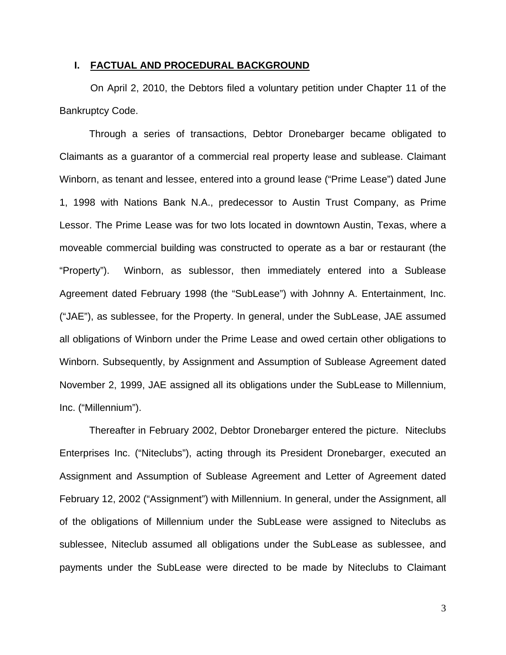#### **I. FACTUAL AND PROCEDURAL BACKGROUND**

 On April 2, 2010, the Debtors filed a voluntary petition under Chapter 11 of the Bankruptcy Code.

 Through a series of transactions, Debtor Dronebarger became obligated to Claimants as a guarantor of a commercial real property lease and sublease. Claimant Winborn, as tenant and lessee, entered into a ground lease ("Prime Lease") dated June 1, 1998 with Nations Bank N.A., predecessor to Austin Trust Company, as Prime Lessor. The Prime Lease was for two lots located in downtown Austin, Texas, where a moveable commercial building was constructed to operate as a bar or restaurant (the "Property"). Winborn, as sublessor, then immediately entered into a Sublease Agreement dated February 1998 (the "SubLease") with Johnny A. Entertainment, Inc. ("JAE"), as sublessee, for the Property. In general, under the SubLease, JAE assumed all obligations of Winborn under the Prime Lease and owed certain other obligations to Winborn. Subsequently, by Assignment and Assumption of Sublease Agreement dated November 2, 1999, JAE assigned all its obligations under the SubLease to Millennium, Inc. ("Millennium").

 Thereafter in February 2002, Debtor Dronebarger entered the picture. Niteclubs Enterprises Inc. ("Niteclubs"), acting through its President Dronebarger, executed an Assignment and Assumption of Sublease Agreement and Letter of Agreement dated February 12, 2002 ("Assignment") with Millennium. In general, under the Assignment, all of the obligations of Millennium under the SubLease were assigned to Niteclubs as sublessee, Niteclub assumed all obligations under the SubLease as sublessee, and payments under the SubLease were directed to be made by Niteclubs to Claimant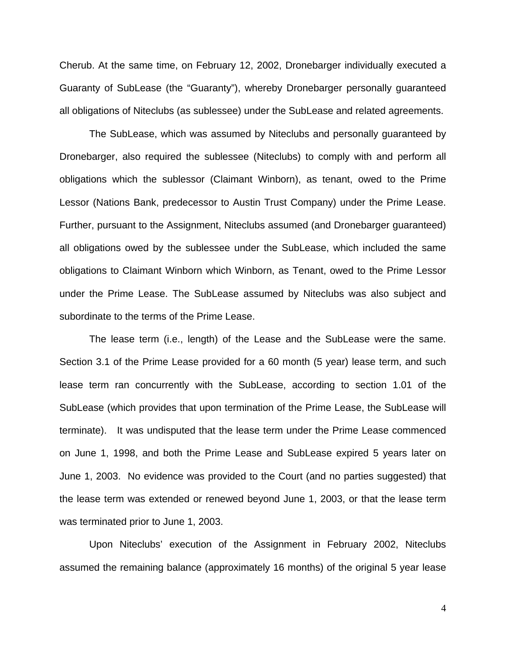Cherub. At the same time, on February 12, 2002, Dronebarger individually executed a Guaranty of SubLease (the "Guaranty"), whereby Dronebarger personally guaranteed all obligations of Niteclubs (as sublessee) under the SubLease and related agreements.

 The SubLease, which was assumed by Niteclubs and personally guaranteed by Dronebarger, also required the sublessee (Niteclubs) to comply with and perform all obligations which the sublessor (Claimant Winborn), as tenant, owed to the Prime Lessor (Nations Bank, predecessor to Austin Trust Company) under the Prime Lease. Further, pursuant to the Assignment, Niteclubs assumed (and Dronebarger guaranteed) all obligations owed by the sublessee under the SubLease, which included the same obligations to Claimant Winborn which Winborn, as Tenant, owed to the Prime Lessor under the Prime Lease. The SubLease assumed by Niteclubs was also subject and subordinate to the terms of the Prime Lease.

 The lease term (i.e., length) of the Lease and the SubLease were the same. Section 3.1 of the Prime Lease provided for a 60 month (5 year) lease term, and such lease term ran concurrently with the SubLease, according to section 1.01 of the SubLease (which provides that upon termination of the Prime Lease, the SubLease will terminate). It was undisputed that the lease term under the Prime Lease commenced on June 1, 1998, and both the Prime Lease and SubLease expired 5 years later on June 1, 2003. No evidence was provided to the Court (and no parties suggested) that the lease term was extended or renewed beyond June 1, 2003, or that the lease term was terminated prior to June 1, 2003.

 Upon Niteclubs' execution of the Assignment in February 2002, Niteclubs assumed the remaining balance (approximately 16 months) of the original 5 year lease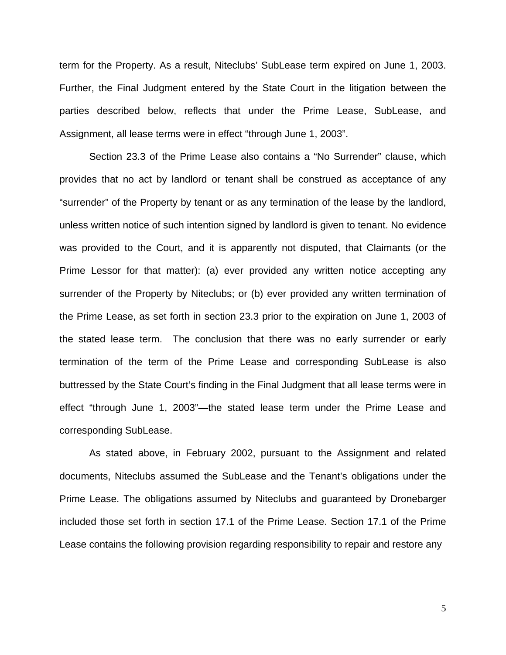term for the Property. As a result, Niteclubs' SubLease term expired on June 1, 2003. Further, the Final Judgment entered by the State Court in the litigation between the parties described below, reflects that under the Prime Lease, SubLease, and Assignment, all lease terms were in effect "through June 1, 2003".

 Section 23.3 of the Prime Lease also contains a "No Surrender" clause, which provides that no act by landlord or tenant shall be construed as acceptance of any "surrender" of the Property by tenant or as any termination of the lease by the landlord, unless written notice of such intention signed by landlord is given to tenant. No evidence was provided to the Court, and it is apparently not disputed, that Claimants (or the Prime Lessor for that matter): (a) ever provided any written notice accepting any surrender of the Property by Niteclubs; or (b) ever provided any written termination of the Prime Lease, as set forth in section 23.3 prior to the expiration on June 1, 2003 of the stated lease term. The conclusion that there was no early surrender or early termination of the term of the Prime Lease and corresponding SubLease is also buttressed by the State Court's finding in the Final Judgment that all lease terms were in effect "through June 1, 2003"—the stated lease term under the Prime Lease and corresponding SubLease.

 As stated above, in February 2002, pursuant to the Assignment and related documents, Niteclubs assumed the SubLease and the Tenant's obligations under the Prime Lease. The obligations assumed by Niteclubs and guaranteed by Dronebarger included those set forth in section 17.1 of the Prime Lease. Section 17.1 of the Prime Lease contains the following provision regarding responsibility to repair and restore any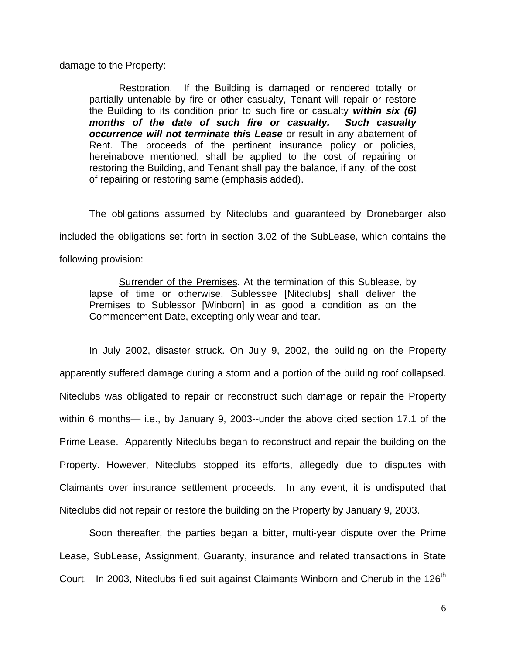damage to the Property:

Restoration. If the Building is damaged or rendered totally or partially untenable by fire or other casualty, Tenant will repair or restore the Building to its condition prior to such fire or casualty *within six (6) months of the date of such fire or casualty. Such casualty occurrence will not terminate this Lease* or result in any abatement of Rent. The proceeds of the pertinent insurance policy or policies, hereinabove mentioned, shall be applied to the cost of repairing or restoring the Building, and Tenant shall pay the balance, if any, of the cost of repairing or restoring same (emphasis added).

 The obligations assumed by Niteclubs and guaranteed by Dronebarger also included the obligations set forth in section 3.02 of the SubLease, which contains the following provision:

 Surrender of the Premises. At the termination of this Sublease, by lapse of time or otherwise, Sublessee [Niteclubs] shall deliver the Premises to Sublessor [Winborn] in as good a condition as on the Commencement Date, excepting only wear and tear.

 In July 2002, disaster struck. On July 9, 2002, the building on the Property apparently suffered damage during a storm and a portion of the building roof collapsed. Niteclubs was obligated to repair or reconstruct such damage or repair the Property within 6 months— i.e., by January 9, 2003--under the above cited section 17.1 of the Prime Lease. Apparently Niteclubs began to reconstruct and repair the building on the Property. However, Niteclubs stopped its efforts, allegedly due to disputes with Claimants over insurance settlement proceeds. In any event, it is undisputed that Niteclubs did not repair or restore the building on the Property by January 9, 2003.

 Soon thereafter, the parties began a bitter, multi-year dispute over the Prime Lease, SubLease, Assignment, Guaranty, insurance and related transactions in State Court. In 2003, Niteclubs filed suit against Claimants Winborn and Cherub in the 126<sup>th</sup>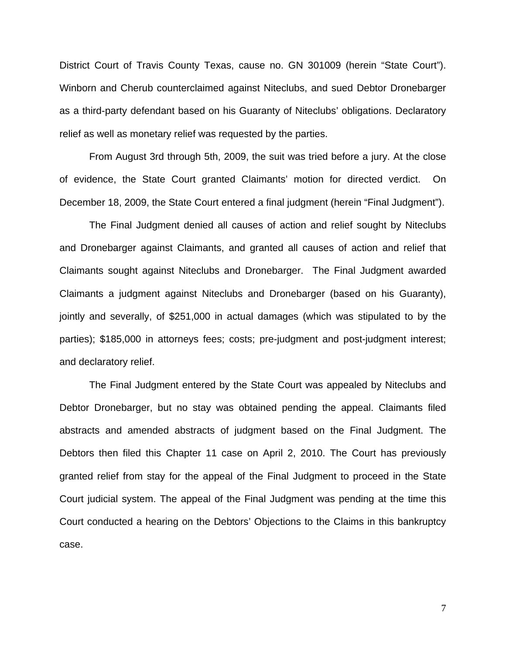District Court of Travis County Texas, cause no. GN 301009 (herein "State Court"). Winborn and Cherub counterclaimed against Niteclubs, and sued Debtor Dronebarger as a third-party defendant based on his Guaranty of Niteclubs' obligations. Declaratory relief as well as monetary relief was requested by the parties.

 From August 3rd through 5th, 2009, the suit was tried before a jury. At the close of evidence, the State Court granted Claimants' motion for directed verdict. On December 18, 2009, the State Court entered a final judgment (herein "Final Judgment").

 The Final Judgment denied all causes of action and relief sought by Niteclubs and Dronebarger against Claimants, and granted all causes of action and relief that Claimants sought against Niteclubs and Dronebarger. The Final Judgment awarded Claimants a judgment against Niteclubs and Dronebarger (based on his Guaranty), jointly and severally, of \$251,000 in actual damages (which was stipulated to by the parties); \$185,000 in attorneys fees; costs; pre-judgment and post-judgment interest; and declaratory relief.

 The Final Judgment entered by the State Court was appealed by Niteclubs and Debtor Dronebarger, but no stay was obtained pending the appeal. Claimants filed abstracts and amended abstracts of judgment based on the Final Judgment. The Debtors then filed this Chapter 11 case on April 2, 2010. The Court has previously granted relief from stay for the appeal of the Final Judgment to proceed in the State Court judicial system. The appeal of the Final Judgment was pending at the time this Court conducted a hearing on the Debtors' Objections to the Claims in this bankruptcy case.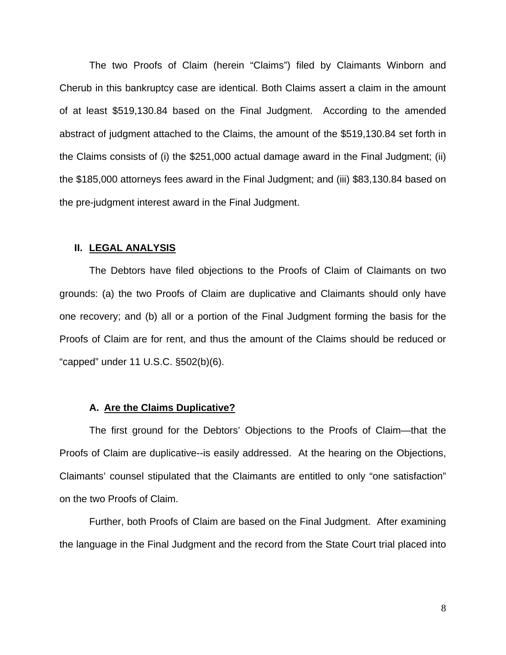The two Proofs of Claim (herein "Claims") filed by Claimants Winborn and Cherub in this bankruptcy case are identical. Both Claims assert a claim in the amount of at least \$519,130.84 based on the Final Judgment. According to the amended abstract of judgment attached to the Claims, the amount of the \$519,130.84 set forth in the Claims consists of (i) the \$251,000 actual damage award in the Final Judgment; (ii) the \$185,000 attorneys fees award in the Final Judgment; and (iii) \$83,130.84 based on the pre-judgment interest award in the Final Judgment.

#### **II. LEGAL ANALYSIS**

 The Debtors have filed objections to the Proofs of Claim of Claimants on two grounds: (a) the two Proofs of Claim are duplicative and Claimants should only have one recovery; and (b) all or a portion of the Final Judgment forming the basis for the Proofs of Claim are for rent, and thus the amount of the Claims should be reduced or "capped" under 11 U.S.C. §502(b)(6).

#### **A. Are the Claims Duplicative?**

 The first ground for the Debtors' Objections to the Proofs of Claim—that the Proofs of Claim are duplicative--is easily addressed. At the hearing on the Objections, Claimants' counsel stipulated that the Claimants are entitled to only "one satisfaction" on the two Proofs of Claim.

 Further, both Proofs of Claim are based on the Final Judgment. After examining the language in the Final Judgment and the record from the State Court trial placed into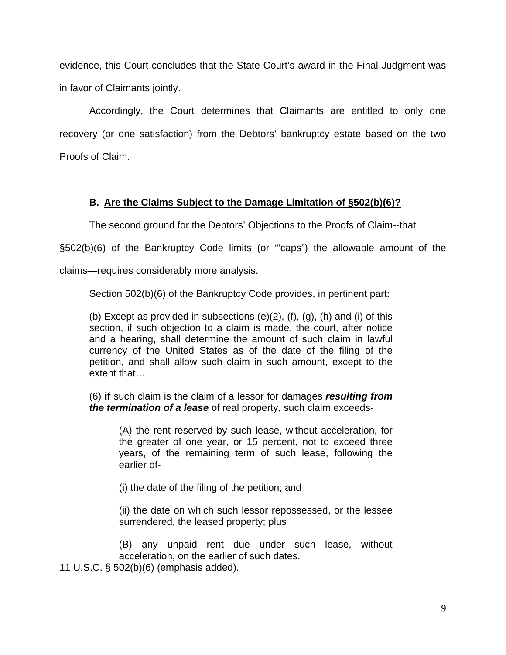evidence, this Court concludes that the State Court's award in the Final Judgment was in favor of Claimants jointly.

 Accordingly, the Court determines that Claimants are entitled to only one recovery (or one satisfaction) from the Debtors' bankruptcy estate based on the two Proofs of Claim.

# **B. Are the Claims Subject to the Damage Limitation of §502(b)(6)?**

The second ground for the Debtors' Objections to the Proofs of Claim--that

§502(b)(6) of the Bankruptcy Code limits (or "'caps") the allowable amount of the

claims—requires considerably more analysis.

Section 502(b)(6) of the Bankruptcy Code provides, in pertinent part:

(b) Except as provided in subsections  $(e)(2)$ ,  $(f)$ ,  $(g)$ ,  $(h)$  and  $(i)$  of this section, if such objection to a claim is made, the court, after notice and a hearing, shall determine the amount of such claim in lawful currency of the United States as of the date of the filing of the petition, and shall allow such claim in such amount, except to the extent that…

(6) **if** such claim is the claim of a lessor for damages *resulting from the termination of a lease* of real property, such claim exceeds-

(A) the rent reserved by such lease, without acceleration, for the greater of one year, or 15 percent, not to exceed three years, of the remaining term of such lease, following the earlier of-

(i) the date of the filing of the petition; and

(ii) the date on which such lessor repossessed, or the lessee surrendered, the leased property; plus

(B) any unpaid rent due under such lease, without acceleration, on the earlier of such dates. 11 U.S.C. § 502(b)(6) (emphasis added).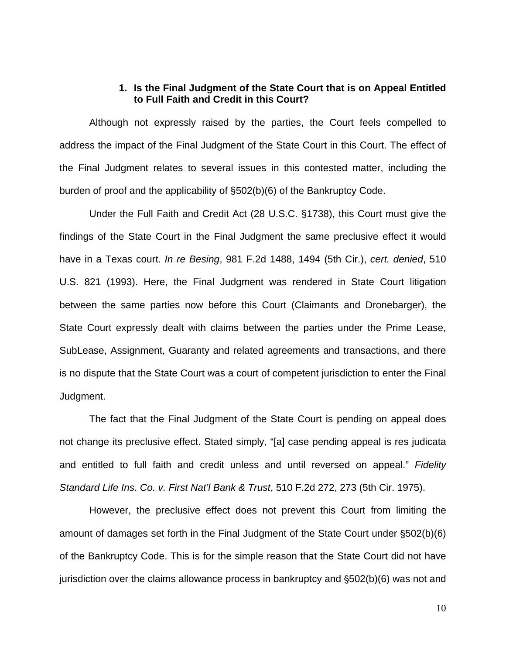## **1. Is the Final Judgment of the State Court that is on Appeal Entitled to Full Faith and Credit in this Court?**

Although not expressly raised by the parties, the Court feels compelled to address the impact of the Final Judgment of the State Court in this Court. The effect of the Final Judgment relates to several issues in this contested matter, including the burden of proof and the applicability of §502(b)(6) of the Bankruptcy Code.

 Under the Full Faith and Credit Act (28 U.S.C. §1738), this Court must give the findings of the State Court in the Final Judgment the same preclusive effect it would have in a Texas court. *In re Besing*, 981 F.2d 1488, 1494 (5th Cir.), *cert. denied*, 510 U.S. 821 (1993). Here, the Final Judgment was rendered in State Court litigation between the same parties now before this Court (Claimants and Dronebarger), the State Court expressly dealt with claims between the parties under the Prime Lease, SubLease, Assignment, Guaranty and related agreements and transactions, and there is no dispute that the State Court was a court of competent jurisdiction to enter the Final Judgment.

 The fact that the Final Judgment of the State Court is pending on appeal does not change its preclusive effect. Stated simply, "[a] case pending appeal is res judicata and entitled to full faith and credit unless and until reversed on appeal." *Fidelity Standard Life Ins. Co. v. First Nat'l Bank & Trust*, 510 F.2d 272, 273 (5th Cir. 1975).

 However, the preclusive effect does not prevent this Court from limiting the amount of damages set forth in the Final Judgment of the State Court under §502(b)(6) of the Bankruptcy Code. This is for the simple reason that the State Court did not have jurisdiction over the claims allowance process in bankruptcy and  $\S502(b)(6)$  was not and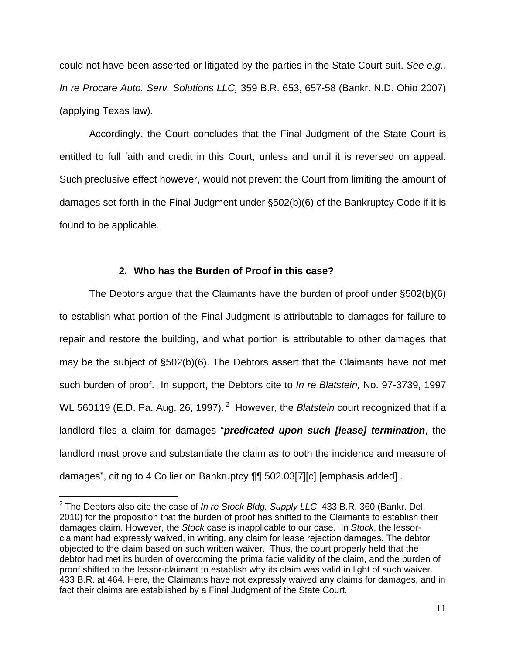could not have been asserted or litigated by the parties in the State Court suit. *See e.g., In re Procare Auto. Serv. Solutions LLC,* 359 B.R. 653, 657-58 (Bankr. N.D. Ohio 2007) (applying Texas law).

 Accordingly, the Court concludes that the Final Judgment of the State Court is entitled to full faith and credit in this Court, unless and until it is reversed on appeal. Such preclusive effect however, would not prevent the Court from limiting the amount of damages set forth in the Final Judgment under  $\S502(b)(6)$  of the Bankruptcy Code if it is found to be applicable.

### **2. Who has the Burden of Proof in this case?**

 The Debtors argue that the Claimants have the burden of proof under §502(b)(6) to establish what portion of the Final Judgment is attributable to damages for failure to repair and restore the building, and what portion is attributable to other damages that may be the subject of §502(b)(6). The Debtors assert that the Claimants have not met such burden of proof. In support, the Debtors cite to *In re Blatstein,* No. 97-3739, 1997 WL 560119 (E.D. Pa. Aug. 26, 1997).<sup>2</sup> However, the *Blatstein* court recognized that if a landlord files a claim for damages "*predicated upon such [lease] termination*, the landlord must prove and substantiate the claim as to both the incidence and measure of damages", citing to 4 Collier on Bankruptcy ¶¶ 502.03[7][c] [emphasis added] .

<sup>2</sup> The Debtors also cite the case of *In re Stock Bldg. Supply LLC*, 433 B.R. 360 (Bankr. Del. 2010) for the proposition that the burden of proof has shifted to the Claimants to establish their damages claim. However, the *Stock* case is inapplicable to our case. In *Stock*, the lessorclaimant had expressly waived, in writing, any claim for lease rejection damages. The debtor objected to the claim based on such written waiver. Thus, the court properly held that the debtor had met its burden of overcoming the prima facie validity of the claim, and the burden of proof shifted to the lessor-claimant to establish why its claim was valid in light of such waiver. 433 B.R. at 464. Here, the Claimants have not expressly waived any claims for damages, and in fact their claims are established by a Final Judgment of the State Court.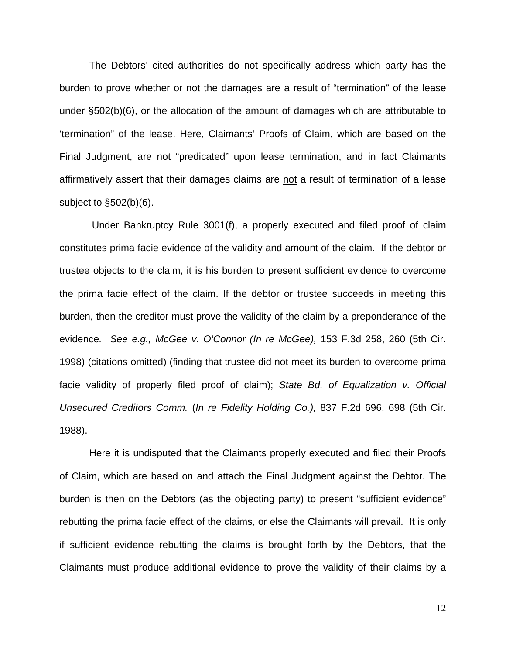The Debtors' cited authorities do not specifically address which party has the burden to prove whether or not the damages are a result of "termination" of the lease under §502(b)(6), or the allocation of the amount of damages which are attributable to 'termination" of the lease. Here, Claimants' Proofs of Claim, which are based on the Final Judgment, are not "predicated" upon lease termination, and in fact Claimants affirmatively assert that their damages claims are not a result of termination of a lease subject to §502(b)(6).

 Under Bankruptcy Rule 3001(f), a properly executed and filed proof of claim constitutes prima facie evidence of the validity and amount of the claim. If the debtor or trustee objects to the claim, it is his burden to present sufficient evidence to overcome the prima facie effect of the claim. If the debtor or trustee succeeds in meeting this burden, then the creditor must prove the validity of the claim by a preponderance of the evidence*. See e.g., McGee v. O'Connor (In re McGee),* 153 F.3d 258, 260 (5th Cir. 1998) (citations omitted) (finding that trustee did not meet its burden to overcome prima facie validity of properly filed proof of claim); *State Bd. of Equalization v. Official Unsecured Creditors Comm.* (*In re Fidelity Holding Co.),* 837 F.2d 696, 698 (5th Cir. 1988).

Here it is undisputed that the Claimants properly executed and filed their Proofs of Claim, which are based on and attach the Final Judgment against the Debtor. The burden is then on the Debtors (as the objecting party) to present "sufficient evidence" rebutting the prima facie effect of the claims, or else the Claimants will prevail. It is only if sufficient evidence rebutting the claims is brought forth by the Debtors, that the Claimants must produce additional evidence to prove the validity of their claims by a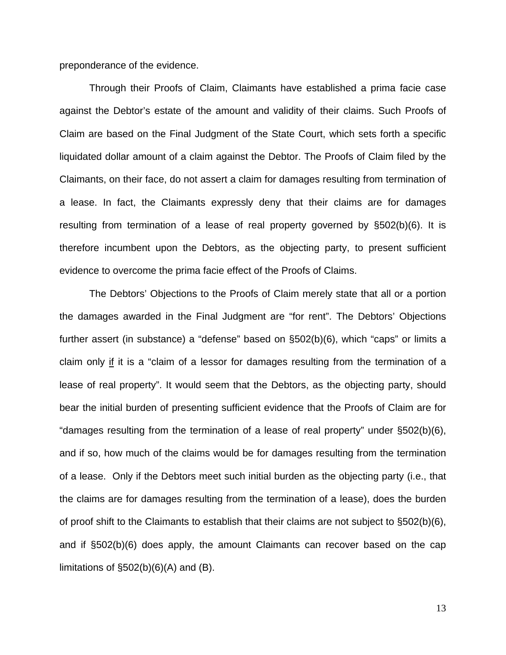preponderance of the evidence.

 Through their Proofs of Claim, Claimants have established a prima facie case against the Debtor's estate of the amount and validity of their claims. Such Proofs of Claim are based on the Final Judgment of the State Court, which sets forth a specific liquidated dollar amount of a claim against the Debtor. The Proofs of Claim filed by the Claimants, on their face, do not assert a claim for damages resulting from termination of a lease. In fact, the Claimants expressly deny that their claims are for damages resulting from termination of a lease of real property governed by §502(b)(6). It is therefore incumbent upon the Debtors, as the objecting party, to present sufficient evidence to overcome the prima facie effect of the Proofs of Claims.

The Debtors' Objections to the Proofs of Claim merely state that all or a portion the damages awarded in the Final Judgment are "for rent". The Debtors' Objections further assert (in substance) a "defense" based on §502(b)(6), which "caps" or limits a claim only if it is a "claim of a lessor for damages resulting from the termination of a lease of real property". It would seem that the Debtors, as the objecting party, should bear the initial burden of presenting sufficient evidence that the Proofs of Claim are for "damages resulting from the termination of a lease of real property" under §502(b)(6), and if so, how much of the claims would be for damages resulting from the termination of a lease. Only if the Debtors meet such initial burden as the objecting party (i.e., that the claims are for damages resulting from the termination of a lease), does the burden of proof shift to the Claimants to establish that their claims are not subject to §502(b)(6), and if §502(b)(6) does apply, the amount Claimants can recover based on the cap limitations of  $\S502(b)(6)(A)$  and  $(B)$ .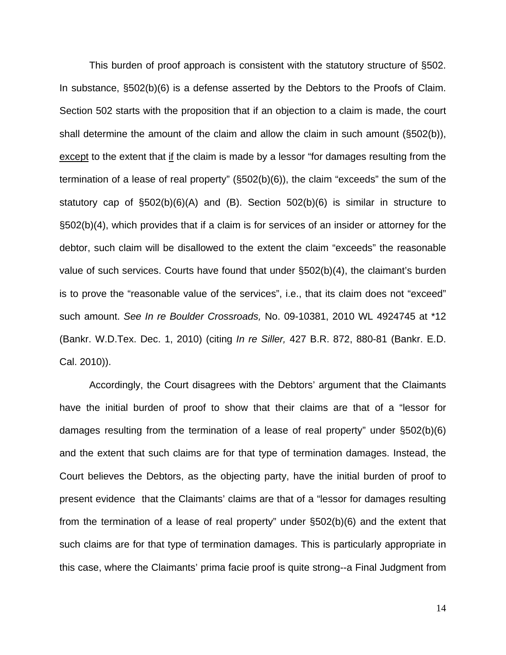This burden of proof approach is consistent with the statutory structure of §502. In substance, §502(b)(6) is a defense asserted by the Debtors to the Proofs of Claim. Section 502 starts with the proposition that if an objection to a claim is made, the court shall determine the amount of the claim and allow the claim in such amount (§502(b)), except to the extent that if the claim is made by a lessor "for damages resulting from the termination of a lease of real property" (§502(b)(6)), the claim "exceeds" the sum of the statutory cap of §502(b)(6)(A) and (B). Section 502(b)(6) is similar in structure to §502(b)(4), which provides that if a claim is for services of an insider or attorney for the debtor, such claim will be disallowed to the extent the claim "exceeds" the reasonable value of such services. Courts have found that under §502(b)(4), the claimant's burden is to prove the "reasonable value of the services", i.e., that its claim does not "exceed" such amount. *See In re Boulder Crossroads,* No. 09-10381, 2010 WL 4924745 at \*12 (Bankr. W.D.Tex. Dec. 1, 2010) (citing *In re Siller,* 427 B.R. 872, 880-81 (Bankr. E.D. Cal. 2010)).

Accordingly, the Court disagrees with the Debtors' argument that the Claimants have the initial burden of proof to show that their claims are that of a "lessor for damages resulting from the termination of a lease of real property" under §502(b)(6) and the extent that such claims are for that type of termination damages. Instead, the Court believes the Debtors, as the objecting party, have the initial burden of proof to present evidence that the Claimants' claims are that of a "lessor for damages resulting from the termination of a lease of real property" under §502(b)(6) and the extent that such claims are for that type of termination damages. This is particularly appropriate in this case, where the Claimants' prima facie proof is quite strong--a Final Judgment from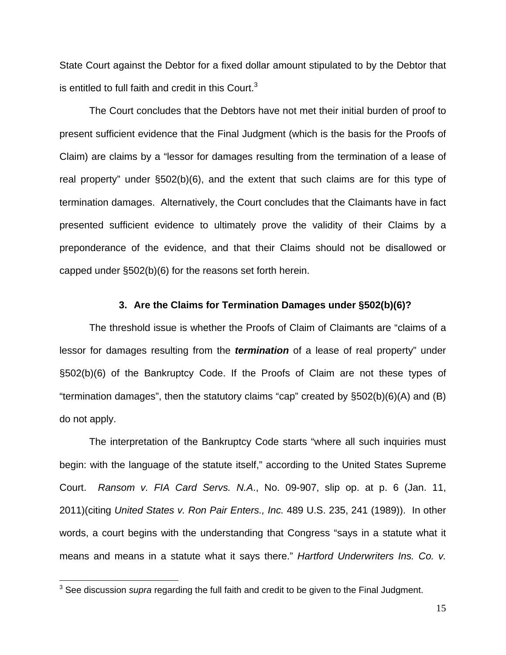State Court against the Debtor for a fixed dollar amount stipulated to by the Debtor that is entitled to full faith and credit in this Court.<sup>3</sup>

The Court concludes that the Debtors have not met their initial burden of proof to present sufficient evidence that the Final Judgment (which is the basis for the Proofs of Claim) are claims by a "lessor for damages resulting from the termination of a lease of real property" under §502(b)(6), and the extent that such claims are for this type of termination damages. Alternatively, the Court concludes that the Claimants have in fact presented sufficient evidence to ultimately prove the validity of their Claims by a preponderance of the evidence, and that their Claims should not be disallowed or capped under §502(b)(6) for the reasons set forth herein.

### **3. Are the Claims for Termination Damages under §502(b)(6)?**

 The threshold issue is whether the Proofs of Claim of Claimants are "claims of a lessor for damages resulting from the *termination* of a lease of real property" under §502(b)(6) of the Bankruptcy Code. If the Proofs of Claim are not these types of "termination damages", then the statutory claims "cap" created by §502(b)(6)(A) and (B) do not apply.

 The interpretation of the Bankruptcy Code starts "where all such inquiries must begin: with the language of the statute itself," according to the United States Supreme Court. *Ransom v. FIA Card Servs. N.A*., No. 09-907, slip op. at p. 6 (Jan. 11, 2011)(citing *United States v. Ron Pair Enters., Inc.* 489 U.S. 235, 241 (1989)). In other words, a court begins with the understanding that Congress "says in a statute what it means and means in a statute what it says there." *Hartford Underwriters Ins. Co. v.* 

 3 See discussion *supra* regarding the full faith and credit to be given to the Final Judgment.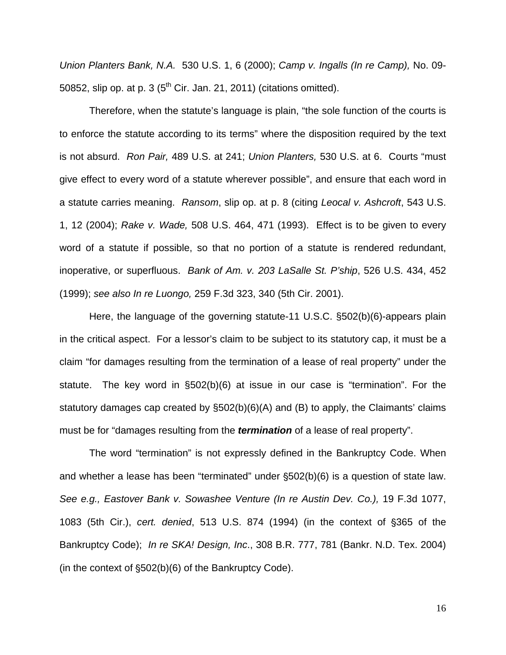*Union Planters Bank, N.A.* 530 U.S. 1, 6 (2000); *Camp v. Ingalls (In re Camp),* No. 09- 50852, slip op. at p. 3 ( $5<sup>th</sup>$  Cir. Jan. 21, 2011) (citations omitted).

Therefore, when the statute's language is plain, "the sole function of the courts is to enforce the statute according to its terms" where the disposition required by the text is not absurd. *Ron Pair,* 489 U.S. at 241; *Union Planters,* 530 U.S. at 6. Courts "must give effect to every word of a statute wherever possible", and ensure that each word in a statute carries meaning. *Ransom*, slip op. at p. 8 (citing *Leocal v. Ashcroft*, 543 U.S. 1, 12 (2004); *Rake v. Wade,* 508 U.S. 464, 471 (1993). Effect is to be given to every word of a statute if possible, so that no portion of a statute is rendered redundant, inoperative, or superfluous. *Bank of Am. v. 203 LaSalle St. P'ship*, 526 U.S. 434, 452 (1999); *see also In re Luongo,* 259 F.3d 323, 340 (5th Cir. 2001).

 Here, the language of the governing statute-11 U.S.C. §502(b)(6)-appears plain in the critical aspect. For a lessor's claim to be subject to its statutory cap, it must be a claim "for damages resulting from the termination of a lease of real property" under the statute. The key word in §502(b)(6) at issue in our case is "termination". For the statutory damages cap created by  $\S502(b)(6)(A)$  and  $(B)$  to apply, the Claimants' claims must be for "damages resulting from the *termination* of a lease of real property".

The word "termination" is not expressly defined in the Bankruptcy Code. When and whether a lease has been "terminated" under  $\S502(b)(6)$  is a question of state law. *See e.g., Eastover Bank v. Sowashee Venture (In re Austin Dev. Co.),* 19 F.3d 1077, 1083 (5th Cir.), *cert. denied*, 513 U.S. 874 (1994) (in the context of '365 of the Bankruptcy Code); *In re SKA! Design, Inc*., 308 B.R. 777, 781 (Bankr. N.D. Tex. 2004) (in the context of  $\S502(b)(6)$  of the Bankruptcy Code).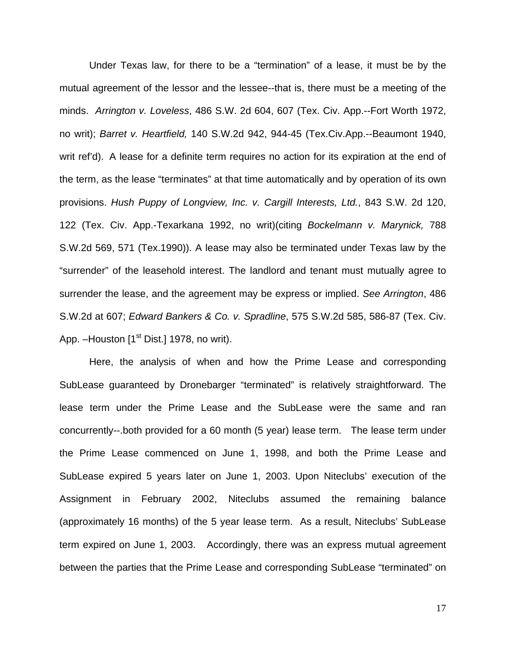Under Texas law, for there to be a "termination" of a lease, it must be by the mutual agreement of the lessor and the lessee--that is, there must be a meeting of the minds. *Arrington v. Loveless*, 486 S.W. 2d 604, 607 (Tex. Civ. App.--Fort Worth 1972, no writ); *Barret v. Heartfield,* 140 S.W.2d 942, 944-45 (Tex.Civ.App.--Beaumont 1940, writ ref'd). A lease for a definite term requires no action for its expiration at the end of the term, as the lease "terminates" at that time automatically and by operation of its own provisions. *Hush Puppy of Longview, Inc. v. Cargill Interests, Ltd.*, 843 S.W. 2d 120, 122 (Tex. Civ. App.-Texarkana 1992, no writ)(citing *Bockelmann v. Marynick,* 788 S.W.2d 569, 571 (Tex.1990)). A lease may also be terminated under Texas law by the "surrender" of the leasehold interest. The landlord and tenant must mutually agree to surrender the lease, and the agreement may be express or implied. *See Arrington*, 486 S.W.2d at 607; *Edward Bankers & Co. v. Spradline*, 575 S.W.2d 585, 586-87 (Tex. Civ. App. –Houston  $[1<sup>st</sup> Dist.]$  1978, no writ).

 Here, the analysis of when and how the Prime Lease and corresponding SubLease guaranteed by Dronebarger "terminated" is relatively straightforward. The lease term under the Prime Lease and the SubLease were the same and ran concurrently--.both provided for a 60 month (5 year) lease term. The lease term under the Prime Lease commenced on June 1, 1998, and both the Prime Lease and SubLease expired 5 years later on June 1, 2003. Upon Niteclubs' execution of the Assignment in February 2002, Niteclubs assumed the remaining balance (approximately 16 months) of the 5 year lease term. As a result, Niteclubs' SubLease term expired on June 1, 2003. Accordingly, there was an express mutual agreement between the parties that the Prime Lease and corresponding SubLease "terminated" on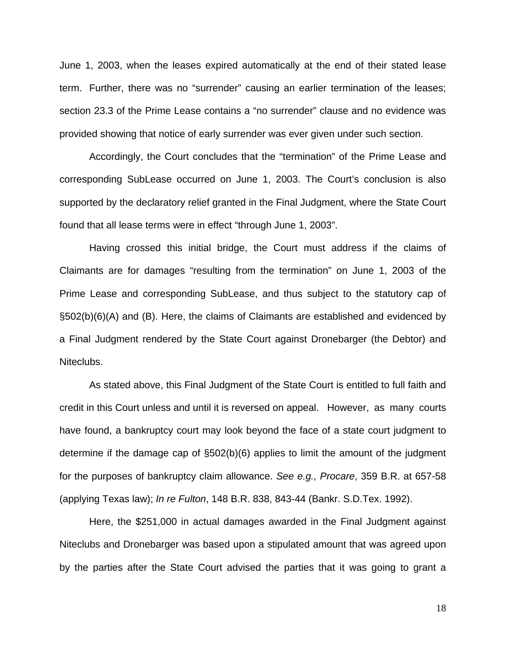June 1, 2003, when the leases expired automatically at the end of their stated lease term. Further, there was no "surrender" causing an earlier termination of the leases; section 23.3 of the Prime Lease contains a "no surrender" clause and no evidence was provided showing that notice of early surrender was ever given under such section.

 Accordingly, the Court concludes that the "termination" of the Prime Lease and corresponding SubLease occurred on June 1, 2003. The Court's conclusion is also supported by the declaratory relief granted in the Final Judgment, where the State Court found that all lease terms were in effect "through June 1, 2003".

 Having crossed this initial bridge, the Court must address if the claims of Claimants are for damages "resulting from the termination" on June 1, 2003 of the Prime Lease and corresponding SubLease, and thus subject to the statutory cap of §502(b)(6)(A) and (B). Here, the claims of Claimants are established and evidenced by a Final Judgment rendered by the State Court against Dronebarger (the Debtor) and Niteclubs.

 As stated above, this Final Judgment of the State Court is entitled to full faith and credit in this Court unless and until it is reversed on appeal. However, as many courts have found, a bankruptcy court may look beyond the face of a state court judgment to determine if the damage cap of §502(b)(6) applies to limit the amount of the judgment for the purposes of bankruptcy claim allowance. *See e.g., Procare*, 359 B.R. at 657-58 (applying Texas law); *In re Fulton*, 148 B.R. 838, 843-44 (Bankr. S.D.Tex. 1992).

 Here, the \$251,000 in actual damages awarded in the Final Judgment against Niteclubs and Dronebarger was based upon a stipulated amount that was agreed upon by the parties after the State Court advised the parties that it was going to grant a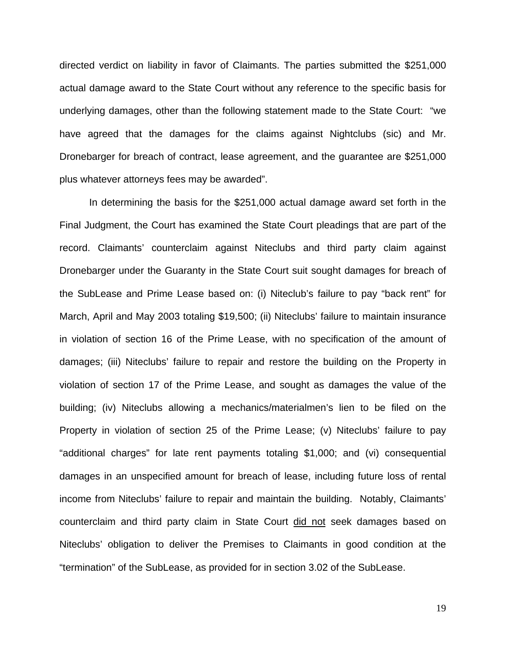directed verdict on liability in favor of Claimants. The parties submitted the \$251,000 actual damage award to the State Court without any reference to the specific basis for underlying damages, other than the following statement made to the State Court: "we have agreed that the damages for the claims against Nightclubs (sic) and Mr. Dronebarger for breach of contract, lease agreement, and the guarantee are \$251,000 plus whatever attorneys fees may be awarded".

 In determining the basis for the \$251,000 actual damage award set forth in the Final Judgment, the Court has examined the State Court pleadings that are part of the record. Claimants' counterclaim against Niteclubs and third party claim against Dronebarger under the Guaranty in the State Court suit sought damages for breach of the SubLease and Prime Lease based on: (i) Niteclub's failure to pay "back rent" for March, April and May 2003 totaling \$19,500; (ii) Niteclubs' failure to maintain insurance in violation of section 16 of the Prime Lease, with no specification of the amount of damages; (iii) Niteclubs' failure to repair and restore the building on the Property in violation of section 17 of the Prime Lease, and sought as damages the value of the building; (iv) Niteclubs allowing a mechanics/materialmen's lien to be filed on the Property in violation of section 25 of the Prime Lease; (v) Niteclubs' failure to pay "additional charges" for late rent payments totaling \$1,000; and (vi) consequential damages in an unspecified amount for breach of lease, including future loss of rental income from Niteclubs' failure to repair and maintain the building. Notably, Claimants' counterclaim and third party claim in State Court did not seek damages based on Niteclubs' obligation to deliver the Premises to Claimants in good condition at the "termination" of the SubLease, as provided for in section 3.02 of the SubLease.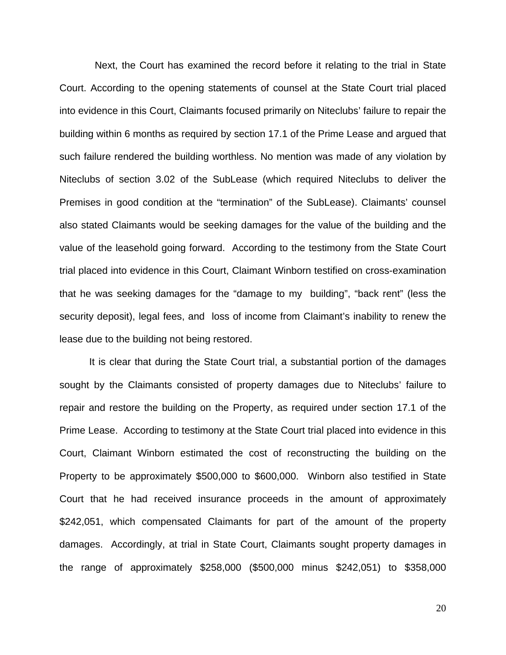Next, the Court has examined the record before it relating to the trial in State Court. According to the opening statements of counsel at the State Court trial placed into evidence in this Court, Claimants focused primarily on Niteclubs' failure to repair the building within 6 months as required by section 17.1 of the Prime Lease and argued that such failure rendered the building worthless. No mention was made of any violation by Niteclubs of section 3.02 of the SubLease (which required Niteclubs to deliver the Premises in good condition at the "termination" of the SubLease). Claimants' counsel also stated Claimants would be seeking damages for the value of the building and the value of the leasehold going forward. According to the testimony from the State Court trial placed into evidence in this Court, Claimant Winborn testified on cross-examination that he was seeking damages for the "damage to my building", "back rent" (less the security deposit), legal fees, and loss of income from Claimant's inability to renew the lease due to the building not being restored.

 It is clear that during the State Court trial, a substantial portion of the damages sought by the Claimants consisted of property damages due to Niteclubs' failure to repair and restore the building on the Property, as required under section 17.1 of the Prime Lease. According to testimony at the State Court trial placed into evidence in this Court, Claimant Winborn estimated the cost of reconstructing the building on the Property to be approximately \$500,000 to \$600,000. Winborn also testified in State Court that he had received insurance proceeds in the amount of approximately \$242,051, which compensated Claimants for part of the amount of the property damages. Accordingly, at trial in State Court, Claimants sought property damages in the range of approximately \$258,000 (\$500,000 minus \$242,051) to \$358,000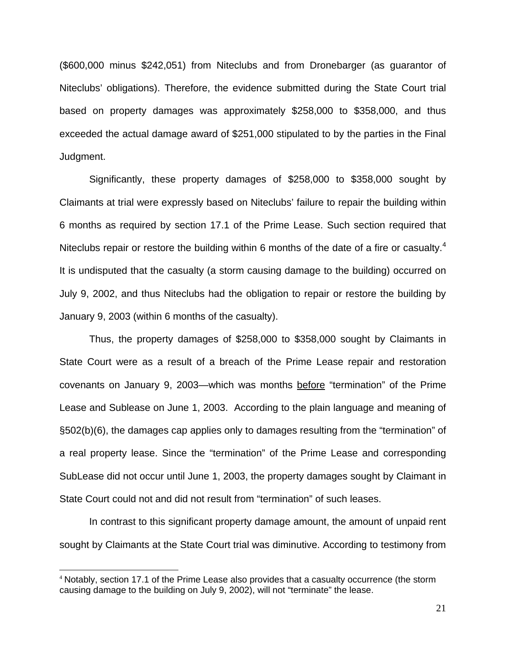(\$600,000 minus \$242,051) from Niteclubs and from Dronebarger (as guarantor of Niteclubs' obligations). Therefore, the evidence submitted during the State Court trial based on property damages was approximately \$258,000 to \$358,000, and thus exceeded the actual damage award of \$251,000 stipulated to by the parties in the Final Judgment.

 Significantly, these property damages of \$258,000 to \$358,000 sought by Claimants at trial were expressly based on Niteclubs' failure to repair the building within 6 months as required by section 17.1 of the Prime Lease. Such section required that Niteclubs repair or restore the building within 6 months of the date of a fire or casualty.<sup>4</sup> It is undisputed that the casualty (a storm causing damage to the building) occurred on July 9, 2002, and thus Niteclubs had the obligation to repair or restore the building by January 9, 2003 (within 6 months of the casualty).

 Thus, the property damages of \$258,000 to \$358,000 sought by Claimants in State Court were as a result of a breach of the Prime Lease repair and restoration covenants on January 9, 2003—which was months before "termination" of the Prime Lease and Sublease on June 1, 2003. According to the plain language and meaning of §502(b)(6), the damages cap applies only to damages resulting from the "termination" of a real property lease. Since the "termination" of the Prime Lease and corresponding SubLease did not occur until June 1, 2003, the property damages sought by Claimant in State Court could not and did not result from "termination" of such leases.

 In contrast to this significant property damage amount, the amount of unpaid rent sought by Claimants at the State Court trial was diminutive. According to testimony from

<sup>&</sup>lt;sup>4</sup> Notably, section 17.1 of the Prime Lease also provides that a casualty occurrence (the storm causing damage to the building on July 9, 2002), will not "terminate" the lease.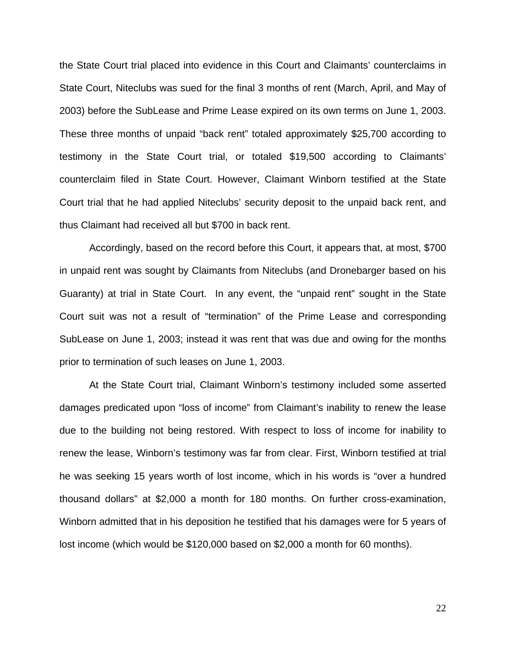the State Court trial placed into evidence in this Court and Claimants' counterclaims in State Court, Niteclubs was sued for the final 3 months of rent (March, April, and May of 2003) before the SubLease and Prime Lease expired on its own terms on June 1, 2003. These three months of unpaid "back rent" totaled approximately \$25,700 according to testimony in the State Court trial, or totaled \$19,500 according to Claimants' counterclaim filed in State Court. However, Claimant Winborn testified at the State Court trial that he had applied Niteclubs' security deposit to the unpaid back rent, and thus Claimant had received all but \$700 in back rent.

 Accordingly, based on the record before this Court, it appears that, at most, \$700 in unpaid rent was sought by Claimants from Niteclubs (and Dronebarger based on his Guaranty) at trial in State Court. In any event, the "unpaid rent" sought in the State Court suit was not a result of "termination" of the Prime Lease and corresponding SubLease on June 1, 2003; instead it was rent that was due and owing for the months prior to termination of such leases on June 1, 2003.

 At the State Court trial, Claimant Winborn's testimony included some asserted damages predicated upon "loss of income" from Claimant's inability to renew the lease due to the building not being restored. With respect to loss of income for inability to renew the lease, Winborn's testimony was far from clear. First, Winborn testified at trial he was seeking 15 years worth of lost income, which in his words is "over a hundred thousand dollars" at \$2,000 a month for 180 months. On further cross-examination, Winborn admitted that in his deposition he testified that his damages were for 5 years of lost income (which would be \$120,000 based on \$2,000 a month for 60 months).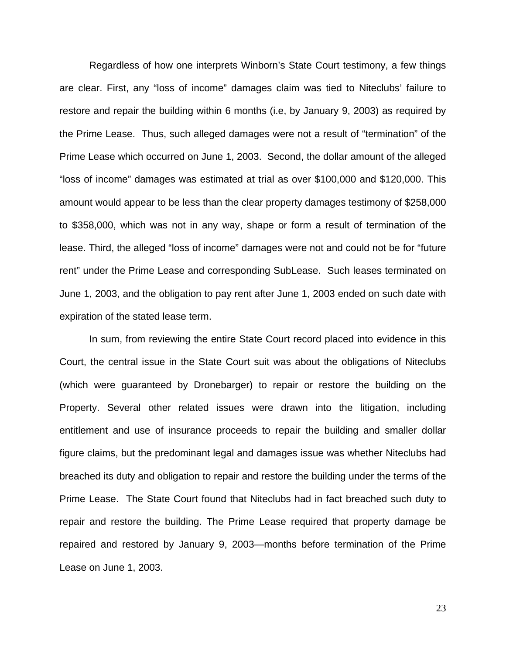Regardless of how one interprets Winborn's State Court testimony, a few things are clear. First, any "loss of income" damages claim was tied to Niteclubs' failure to restore and repair the building within 6 months (i.e, by January 9, 2003) as required by the Prime Lease. Thus, such alleged damages were not a result of "termination" of the Prime Lease which occurred on June 1, 2003. Second, the dollar amount of the alleged "loss of income" damages was estimated at trial as over \$100,000 and \$120,000. This amount would appear to be less than the clear property damages testimony of \$258,000 to \$358,000, which was not in any way, shape or form a result of termination of the lease. Third, the alleged "loss of income" damages were not and could not be for "future rent" under the Prime Lease and corresponding SubLease. Such leases terminated on June 1, 2003, and the obligation to pay rent after June 1, 2003 ended on such date with expiration of the stated lease term.

 In sum, from reviewing the entire State Court record placed into evidence in this Court, the central issue in the State Court suit was about the obligations of Niteclubs (which were guaranteed by Dronebarger) to repair or restore the building on the Property. Several other related issues were drawn into the litigation, including entitlement and use of insurance proceeds to repair the building and smaller dollar figure claims, but the predominant legal and damages issue was whether Niteclubs had breached its duty and obligation to repair and restore the building under the terms of the Prime Lease. The State Court found that Niteclubs had in fact breached such duty to repair and restore the building. The Prime Lease required that property damage be repaired and restored by January 9, 2003—months before termination of the Prime Lease on June 1, 2003.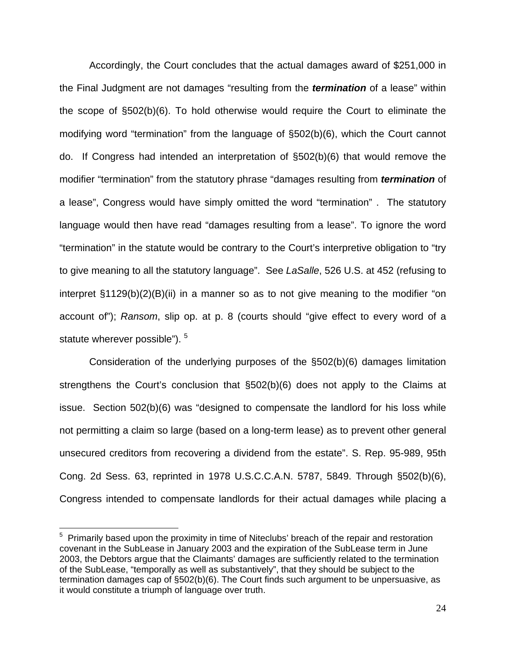Accordingly, the Court concludes that the actual damages award of \$251,000 in the Final Judgment are not damages "resulting from the *termination* of a lease" within the scope of §502(b)(6). To hold otherwise would require the Court to eliminate the modifying word "termination" from the language of §502(b)(6), which the Court cannot do. If Congress had intended an interpretation of §502(b)(6) that would remove the modifier "termination" from the statutory phrase "damages resulting from *termination* of a lease", Congress would have simply omitted the word "termination" . The statutory language would then have read "damages resulting from a lease". To ignore the word "termination" in the statute would be contrary to the Court's interpretive obligation to "try to give meaning to all the statutory language". See *LaSalle*, 526 U.S. at 452 (refusing to interpret §1129(b)(2)(B)(ii) in a manner so as to not give meaning to the modifier "on account of"); *Ransom*, slip op. at p. 8 (courts should "give effect to every word of a statute wherever possible"). <sup>5</sup>

 Consideration of the underlying purposes of the §502(b)(6) damages limitation strengthens the Court's conclusion that §502(b)(6) does not apply to the Claims at issue. Section 502(b)(6) was "designed to compensate the landlord for his loss while not permitting a claim so large (based on a long-term lease) as to prevent other general unsecured creditors from recovering a dividend from the estate". S. Rep. 95-989, 95th Cong. 2d Sess. 63, reprinted in 1978 U.S.C.C.A.N. 5787, 5849. Through §502(b)(6), Congress intended to compensate landlords for their actual damages while placing a

<sup>&</sup>lt;sup>5</sup> Primarily based upon the proximity in time of Niteclubs' breach of the repair and restoration covenant in the SubLease in January 2003 and the expiration of the SubLease term in June 2003, the Debtors argue that the Claimants' damages are sufficiently related to the termination of the SubLease, "temporally as well as substantively", that they should be subject to the termination damages cap of §502(b)(6). The Court finds such argument to be unpersuasive, as it would constitute a triumph of language over truth.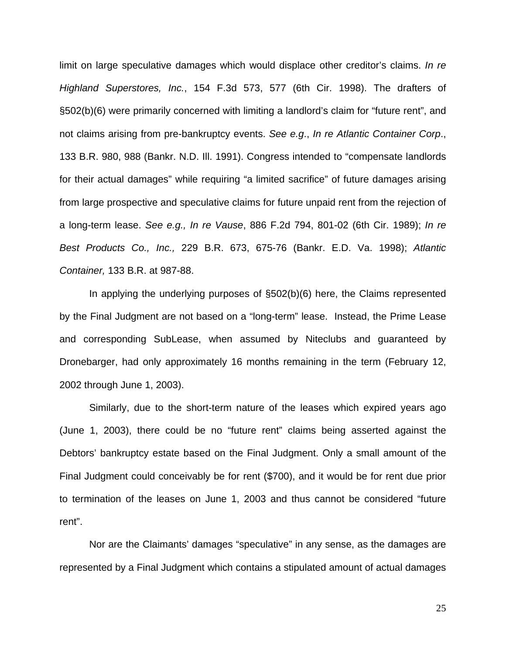limit on large speculative damages which would displace other creditor's claims. *In re Highland Superstores, Inc.*, 154 F.3d 573, 577 (6th Cir. 1998). The drafters of §502(b)(6) were primarily concerned with limiting a landlord's claim for "future rent", and not claims arising from pre-bankruptcy events. *See e.g*., *In re Atlantic Container Corp*., 133 B.R. 980, 988 (Bankr. N.D. Ill. 1991). Congress intended to "compensate landlords for their actual damages" while requiring "a limited sacrifice" of future damages arising from large prospective and speculative claims for future unpaid rent from the rejection of a long-term lease. *See e.g., In re Vause*, 886 F.2d 794, 801-02 (6th Cir. 1989); *In re Best Products Co., Inc.,* 229 B.R. 673, 675-76 (Bankr. E.D. Va. 1998); *Atlantic Container,* 133 B.R. at 987-88.

In applying the underlying purposes of §502(b)(6) here, the Claims represented by the Final Judgment are not based on a "long-term" lease. Instead, the Prime Lease and corresponding SubLease, when assumed by Niteclubs and guaranteed by Dronebarger, had only approximately 16 months remaining in the term (February 12, 2002 through June 1, 2003).

Similarly, due to the short-term nature of the leases which expired years ago (June 1, 2003), there could be no "future rent" claims being asserted against the Debtors' bankruptcy estate based on the Final Judgment. Only a small amount of the Final Judgment could conceivably be for rent (\$700), and it would be for rent due prior to termination of the leases on June 1, 2003 and thus cannot be considered "future rent".

Nor are the Claimants' damages "speculative" in any sense, as the damages are represented by a Final Judgment which contains a stipulated amount of actual damages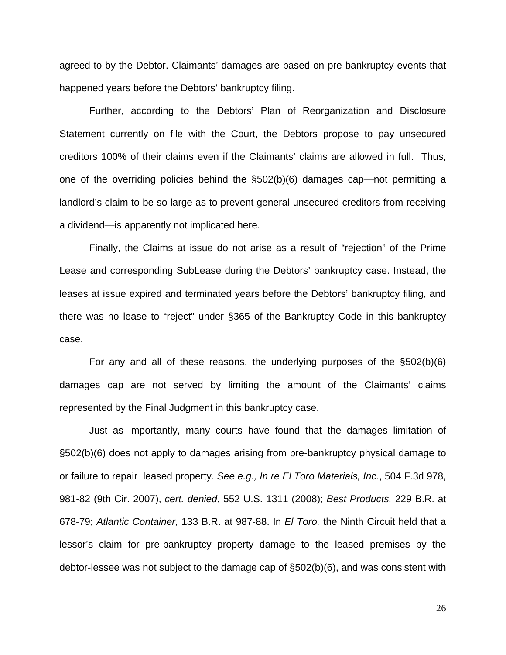agreed to by the Debtor. Claimants' damages are based on pre-bankruptcy events that happened years before the Debtors' bankruptcy filing.

Further, according to the Debtors' Plan of Reorganization and Disclosure Statement currently on file with the Court, the Debtors propose to pay unsecured creditors 100% of their claims even if the Claimants' claims are allowed in full. Thus, one of the overriding policies behind the §502(b)(6) damages cap—not permitting a landlord's claim to be so large as to prevent general unsecured creditors from receiving a dividend—is apparently not implicated here.

Finally, the Claims at issue do not arise as a result of "rejection" of the Prime Lease and corresponding SubLease during the Debtors' bankruptcy case. Instead, the leases at issue expired and terminated years before the Debtors' bankruptcy filing, and there was no lease to "reject" under §365 of the Bankruptcy Code in this bankruptcy case.

For any and all of these reasons, the underlying purposes of the §502(b)(6) damages cap are not served by limiting the amount of the Claimants' claims represented by the Final Judgment in this bankruptcy case.

 Just as importantly, many courts have found that the damages limitation of §502(b)(6) does not apply to damages arising from pre-bankruptcy physical damage to or failure to repair leased property. *See e.g., In re El Toro Materials, Inc.*, 504 F.3d 978, 981-82 (9th Cir. 2007), *cert. denied*, 552 U.S. 1311 (2008); *Best Products,* 229 B.R. at 678-79; *Atlantic Container,* 133 B.R. at 987-88. In *El Toro,* the Ninth Circuit held that a lessor's claim for pre-bankruptcy property damage to the leased premises by the debtor-lessee was not subject to the damage cap of §502(b)(6), and was consistent with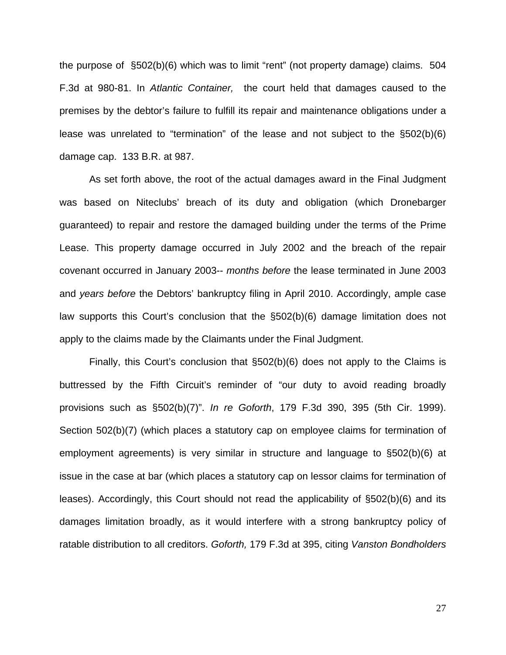the purpose of §502(b)(6) which was to limit "rent" (not property damage) claims. 504 F.3d at 980-81. In *Atlantic Container,* the court held that damages caused to the premises by the debtor's failure to fulfill its repair and maintenance obligations under a lease was unrelated to "termination" of the lease and not subject to the §502(b)(6) damage cap. 133 B.R. at 987.

 As set forth above, the root of the actual damages award in the Final Judgment was based on Niteclubs' breach of its duty and obligation (which Dronebarger guaranteed) to repair and restore the damaged building under the terms of the Prime Lease. This property damage occurred in July 2002 and the breach of the repair covenant occurred in January 2003-- *months before* the lease terminated in June 2003 and *years before* the Debtors' bankruptcy filing in April 2010. Accordingly, ample case law supports this Court's conclusion that the §502(b)(6) damage limitation does not apply to the claims made by the Claimants under the Final Judgment.

 Finally, this Court's conclusion that §502(b)(6) does not apply to the Claims is buttressed by the Fifth Circuit's reminder of "our duty to avoid reading broadly provisions such as §502(b)(7)". *In re Goforth*, 179 F.3d 390, 395 (5th Cir. 1999). Section 502(b)(7) (which places a statutory cap on employee claims for termination of employment agreements) is very similar in structure and language to §502(b)(6) at issue in the case at bar (which places a statutory cap on lessor claims for termination of leases). Accordingly, this Court should not read the applicability of §502(b)(6) and its damages limitation broadly, as it would interfere with a strong bankruptcy policy of ratable distribution to all creditors. *Goforth,* 179 F.3d at 395, citing *Vanston Bondholders*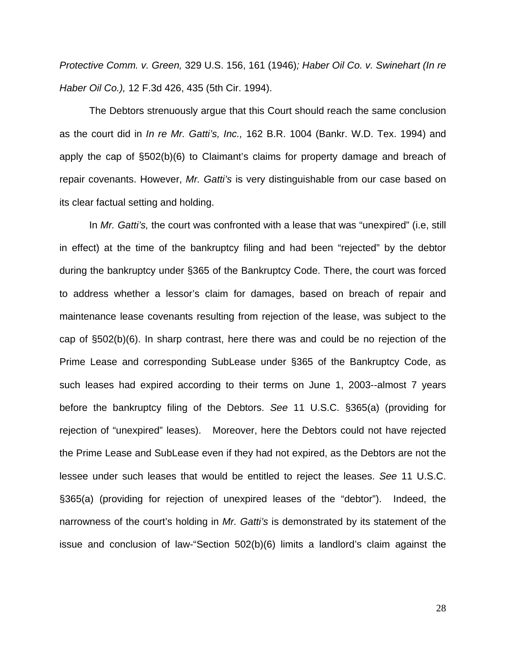*Protective Comm. v. Green,* 329 U.S. 156, 161 (1946)*; Haber Oil Co. v. Swinehart (In re Haber Oil Co.),* 12 F.3d 426, 435 (5th Cir. 1994).

 The Debtors strenuously argue that this Court should reach the same conclusion as the court did in *In re Mr. Gatti's, Inc.,* 162 B.R. 1004 (Bankr. W.D. Tex. 1994) and apply the cap of §502(b)(6) to Claimant's claims for property damage and breach of repair covenants. However, *Mr. Gatti's* is very distinguishable from our case based on its clear factual setting and holding.

 In *Mr. Gatti's,* the court was confronted with a lease that was "unexpired" (i.e, still in effect) at the time of the bankruptcy filing and had been "rejected" by the debtor during the bankruptcy under §365 of the Bankruptcy Code. There, the court was forced to address whether a lessor's claim for damages, based on breach of repair and maintenance lease covenants resulting from rejection of the lease, was subject to the cap of §502(b)(6). In sharp contrast, here there was and could be no rejection of the Prime Lease and corresponding SubLease under §365 of the Bankruptcy Code, as such leases had expired according to their terms on June 1, 2003--almost 7 years before the bankruptcy filing of the Debtors. *See* 11 U.S.C. §365(a) (providing for rejection of "unexpired" leases). Moreover, here the Debtors could not have rejected the Prime Lease and SubLease even if they had not expired, as the Debtors are not the lessee under such leases that would be entitled to reject the leases. *See* 11 U.S.C. §365(a) (providing for rejection of unexpired leases of the "debtor"). Indeed, the narrowness of the court's holding in *Mr. Gatti's* is demonstrated by its statement of the issue and conclusion of law-"Section 502(b)(6) limits a landlord's claim against the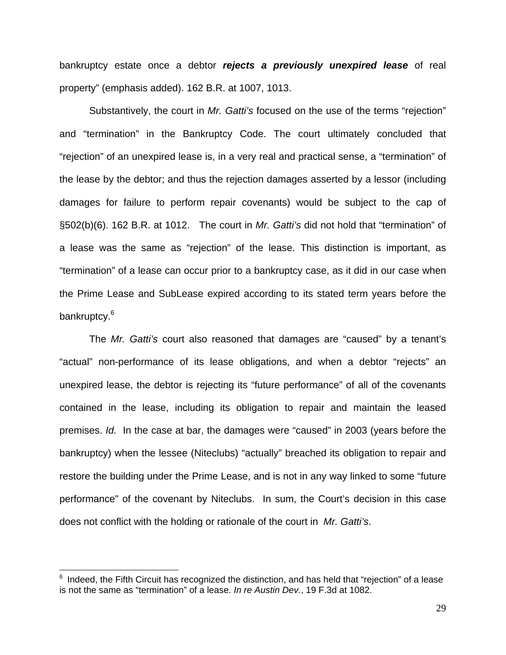bankruptcy estate once a debtor *rejects a previously unexpired lease* of real property" (emphasis added). 162 B.R. at 1007, 1013.

 Substantively, the court in *Mr. Gatti's* focused on the use of the terms "rejection" and "termination" in the Bankruptcy Code. The court ultimately concluded that "rejection" of an unexpired lease is, in a very real and practical sense, a "termination" of the lease by the debtor; and thus the rejection damages asserted by a lessor (including damages for failure to perform repair covenants) would be subject to the cap of §502(b)(6). 162 B.R. at 1012. The court in *Mr. Gatti's* did not hold that "termination" of a lease was the same as "rejection" of the lease. This distinction is important, as "termination" of a lease can occur prior to a bankruptcy case, as it did in our case when the Prime Lease and SubLease expired according to its stated term years before the bankruptcy.<sup>6</sup>

 The *Mr. Gatti's* court also reasoned that damages are "caused" by a tenant's "actual" non-performance of its lease obligations, and when a debtor "rejects" an unexpired lease, the debtor is rejecting its "future performance" of all of the covenants contained in the lease, including its obligation to repair and maintain the leased premises. *Id.* In the case at bar, the damages were "caused" in 2003 (years before the bankruptcy) when the lessee (Niteclubs) "actually" breached its obligation to repair and restore the building under the Prime Lease, and is not in any way linked to some "future performance" of the covenant by Niteclubs. In sum, the Court's decision in this case does not conflict with the holding or rationale of the court in *Mr. Gatti's*.

 $6$  Indeed, the Fifth Circuit has recognized the distinction, and has held that "rejection" of a lease is not the same as "termination" of a lease. *In re Austin Dev.*, 19 F.3d at 1082.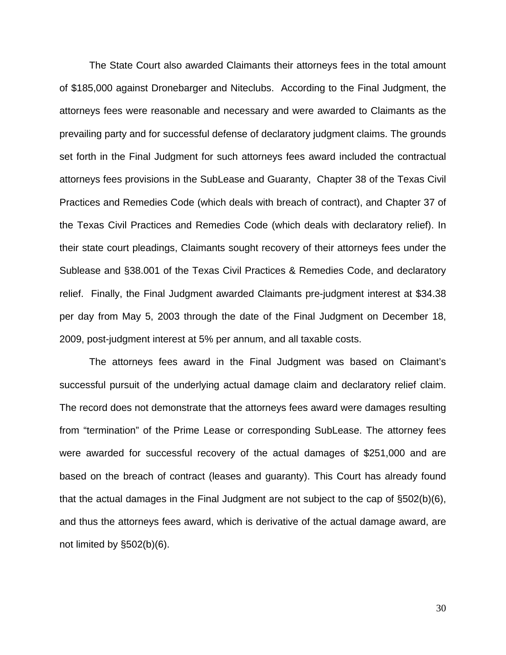The State Court also awarded Claimants their attorneys fees in the total amount of \$185,000 against Dronebarger and Niteclubs. According to the Final Judgment, the attorneys fees were reasonable and necessary and were awarded to Claimants as the prevailing party and for successful defense of declaratory judgment claims. The grounds set forth in the Final Judgment for such attorneys fees award included the contractual attorneys fees provisions in the SubLease and Guaranty, Chapter 38 of the Texas Civil Practices and Remedies Code (which deals with breach of contract), and Chapter 37 of the Texas Civil Practices and Remedies Code (which deals with declaratory relief). In their state court pleadings, Claimants sought recovery of their attorneys fees under the Sublease and §38.001 of the Texas Civil Practices & Remedies Code, and declaratory relief. Finally, the Final Judgment awarded Claimants pre-judgment interest at \$34.38 per day from May 5, 2003 through the date of the Final Judgment on December 18, 2009, post-judgment interest at 5% per annum, and all taxable costs.

 The attorneys fees award in the Final Judgment was based on Claimant's successful pursuit of the underlying actual damage claim and declaratory relief claim. The record does not demonstrate that the attorneys fees award were damages resulting from "termination" of the Prime Lease or corresponding SubLease. The attorney fees were awarded for successful recovery of the actual damages of \$251,000 and are based on the breach of contract (leases and guaranty). This Court has already found that the actual damages in the Final Judgment are not subject to the cap of §502(b)(6), and thus the attorneys fees award, which is derivative of the actual damage award, are not limited by §502(b)(6).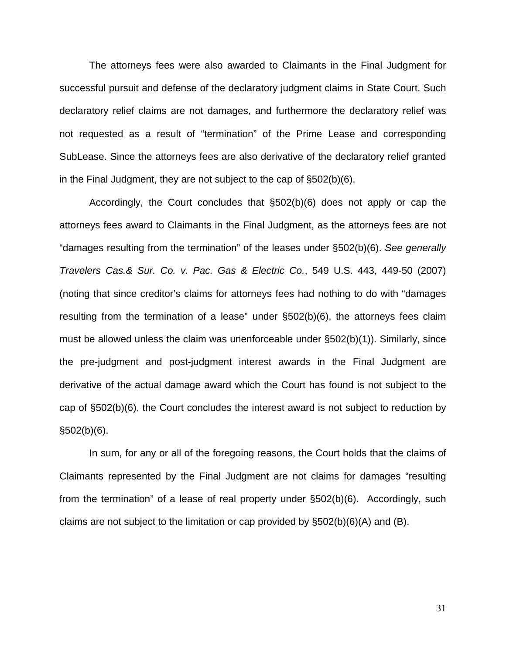The attorneys fees were also awarded to Claimants in the Final Judgment for successful pursuit and defense of the declaratory judgment claims in State Court. Such declaratory relief claims are not damages, and furthermore the declaratory relief was not requested as a result of "termination" of the Prime Lease and corresponding SubLease. Since the attorneys fees are also derivative of the declaratory relief granted in the Final Judgment, they are not subject to the cap of §502(b)(6).

 Accordingly, the Court concludes that §502(b)(6) does not apply or cap the attorneys fees award to Claimants in the Final Judgment, as the attorneys fees are not "damages resulting from the termination" of the leases under §502(b)(6). *See generally Travelers Cas.& Sur. Co. v. Pac. Gas & Electric Co.*, 549 U.S. 443, 449-50 (2007) (noting that since creditor's claims for attorneys fees had nothing to do with "damages resulting from the termination of a lease" under §502(b)(6), the attorneys fees claim must be allowed unless the claim was unenforceable under §502(b)(1)). Similarly, since the pre-judgment and post-judgment interest awards in the Final Judgment are derivative of the actual damage award which the Court has found is not subject to the cap of §502(b)(6), the Court concludes the interest award is not subject to reduction by  $$502(b)(6)$ .

 In sum, for any or all of the foregoing reasons, the Court holds that the claims of Claimants represented by the Final Judgment are not claims for damages "resulting from the termination" of a lease of real property under §502(b)(6). Accordingly, such claims are not subject to the limitation or cap provided by §502(b)(6)(A) and (B).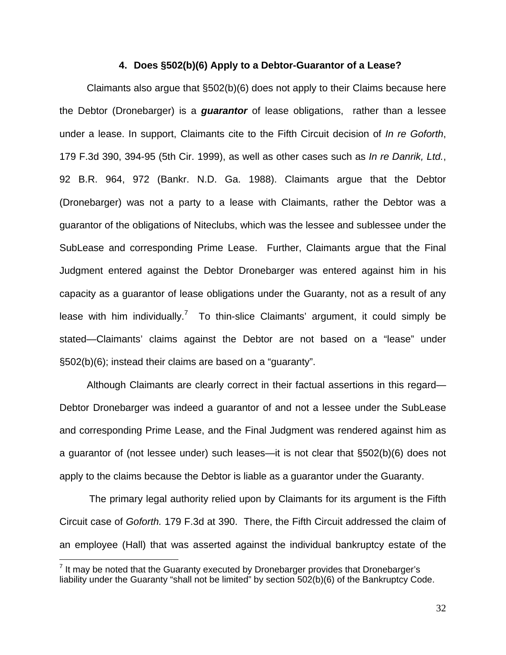### **4. Does §502(b)(6) Apply to a Debtor-Guarantor of a Lease?**

 Claimants also argue that §502(b)(6) does not apply to their Claims because here the Debtor (Dronebarger) is a *guarantor* of lease obligations, rather than a lessee under a lease. In support, Claimants cite to the Fifth Circuit decision of *In re Goforth*, 179 F.3d 390, 394-95 (5th Cir. 1999), as well as other cases such as *In re Danrik, Ltd.*, 92 B.R. 964, 972 (Bankr. N.D. Ga. 1988). Claimants argue that the Debtor (Dronebarger) was not a party to a lease with Claimants, rather the Debtor was a guarantor of the obligations of Niteclubs, which was the lessee and sublessee under the SubLease and corresponding Prime Lease. Further, Claimants argue that the Final Judgment entered against the Debtor Dronebarger was entered against him in his capacity as a guarantor of lease obligations under the Guaranty, not as a result of any lease with him individually.<sup>7</sup> To thin-slice Claimants' argument, it could simply be stated—Claimants' claims against the Debtor are not based on a "lease" under §502(b)(6); instead their claims are based on a "guaranty".

 Although Claimants are clearly correct in their factual assertions in this regard— Debtor Dronebarger was indeed a guarantor of and not a lessee under the SubLease and corresponding Prime Lease, and the Final Judgment was rendered against him as a guarantor of (not lessee under) such leases—it is not clear that §502(b)(6) does not apply to the claims because the Debtor is liable as a guarantor under the Guaranty.

 The primary legal authority relied upon by Claimants for its argument is the Fifth Circuit case of *Goforth.* 179 F.3d at 390. There, the Fifth Circuit addressed the claim of an employee (Hall) that was asserted against the individual bankruptcy estate of the

 $<sup>7</sup>$  It may be noted that the Guaranty executed by Dronebarger provides that Dronebarger's</sup> liability under the Guaranty "shall not be limited" by section 502(b)(6) of the Bankruptcy Code.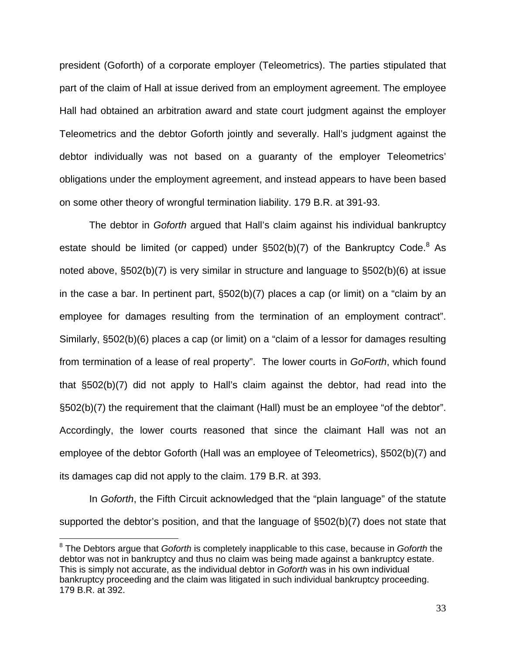president (Goforth) of a corporate employer (Teleometrics). The parties stipulated that part of the claim of Hall at issue derived from an employment agreement. The employee Hall had obtained an arbitration award and state court judgment against the employer Teleometrics and the debtor Goforth jointly and severally. Hall's judgment against the debtor individually was not based on a guaranty of the employer Teleometrics' obligations under the employment agreement, and instead appears to have been based on some other theory of wrongful termination liability. 179 B.R. at 391-93.

 The debtor in *Goforth* argued that Hall's claim against his individual bankruptcy estate should be limited (or capped) under  $\S502(b)(7)$  of the Bankruptcy Code.<sup>8</sup> As noted above, §502(b)(7) is very similar in structure and language to §502(b)(6) at issue in the case a bar. In pertinent part, §502(b)(7) places a cap (or limit) on a "claim by an employee for damages resulting from the termination of an employment contract". Similarly, §502(b)(6) places a cap (or limit) on a "claim of a lessor for damages resulting from termination of a lease of real property". The lower courts in *GoForth*, which found that §502(b)(7) did not apply to Hall's claim against the debtor, had read into the §502(b)(7) the requirement that the claimant (Hall) must be an employee "of the debtor". Accordingly, the lower courts reasoned that since the claimant Hall was not an employee of the debtor Goforth (Hall was an employee of Teleometrics), §502(b)(7) and its damages cap did not apply to the claim. 179 B.R. at 393.

 In *Goforth*, the Fifth Circuit acknowledged that the "plain language" of the statute supported the debtor's position, and that the language of §502(b)(7) does not state that

<sup>8</sup> The Debtors argue that *Goforth* is completely inapplicable to this case, because in *Goforth* the debtor was not in bankruptcy and thus no claim was being made against a bankruptcy estate. This is simply not accurate, as the individual debtor in *Goforth* was in his own individual bankruptcy proceeding and the claim was litigated in such individual bankruptcy proceeding. 179 B.R. at 392.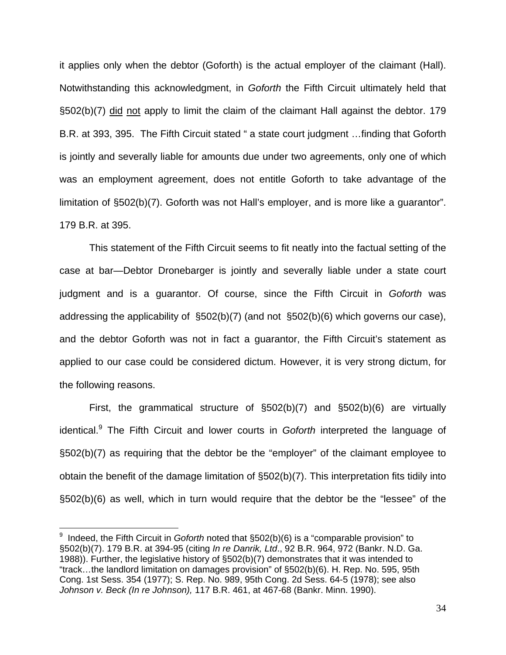it applies only when the debtor (Goforth) is the actual employer of the claimant (Hall). Notwithstanding this acknowledgment, in *Goforth* the Fifth Circuit ultimately held that §502(b)(7) did not apply to limit the claim of the claimant Hall against the debtor. 179 B.R. at 393, 395. The Fifth Circuit stated " a state court judgment …finding that Goforth is jointly and severally liable for amounts due under two agreements, only one of which was an employment agreement, does not entitle Goforth to take advantage of the limitation of §502(b)(7). Goforth was not Hall's employer, and is more like a guarantor". 179 B.R. at 395.

 This statement of the Fifth Circuit seems to fit neatly into the factual setting of the case at bar—Debtor Dronebarger is jointly and severally liable under a state court judgment and is a guarantor. Of course, since the Fifth Circuit in *Goforth* was addressing the applicability of §502(b)(7) (and not §502(b)(6) which governs our case), and the debtor Goforth was not in fact a guarantor, the Fifth Circuit's statement as applied to our case could be considered dictum. However, it is very strong dictum, for the following reasons.

 First, the grammatical structure of §502(b)(7) and §502(b)(6) are virtually identical.<sup>9</sup> The Fifth Circuit and lower courts in *Goforth* interpreted the language of §502(b)(7) as requiring that the debtor be the "employer" of the claimant employee to obtain the benefit of the damage limitation of §502(b)(7). This interpretation fits tidily into §502(b)(6) as well, which in turn would require that the debtor be the "lessee" of the

<sup>&</sup>lt;sup>9</sup> Indeed, the Fifth Circuit in *Goforth* noted that §502(b)(6) is a "comparable provision" to §502(b)(7). 179 B.R. at 394-95 (citing *In re Danrik, Ltd*., 92 B.R. 964, 972 (Bankr. N.D. Ga. 1988)). Further, the legislative history of §502(b)(7) demonstrates that it was intended to "track…the landlord limitation on damages provision" of §502(b)(6). H. Rep. No. 595, 95th Cong. 1st Sess. 354 (1977); S. Rep. No. 989, 95th Cong. 2d Sess. 64-5 (1978); see also *Johnson v. Beck (In re Johnson),* 117 B.R. 461, at 467-68 (Bankr. Minn. 1990).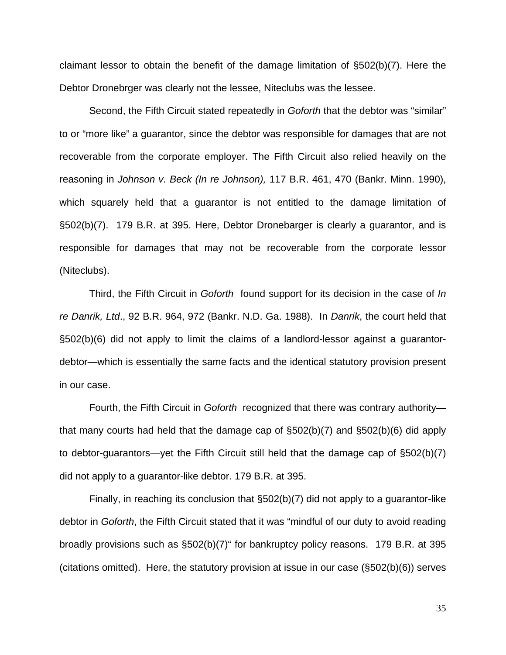claimant lessor to obtain the benefit of the damage limitation of §502(b)(7). Here the Debtor Dronebrger was clearly not the lessee, Niteclubs was the lessee.

 Second, the Fifth Circuit stated repeatedly in *Goforth* that the debtor was "similar" to or "more like" a guarantor, since the debtor was responsible for damages that are not recoverable from the corporate employer. The Fifth Circuit also relied heavily on the reasoning in *Johnson v. Beck (In re Johnson),* 117 B.R. 461, 470 (Bankr. Minn. 1990), which squarely held that a guarantor is not entitled to the damage limitation of §502(b)(7). 179 B.R. at 395. Here, Debtor Dronebarger is clearly a guarantor, and is responsible for damages that may not be recoverable from the corporate lessor (Niteclubs).

 Third, the Fifth Circuit in *Goforth* found support for its decision in the case of *In re Danrik, Ltd*., 92 B.R. 964, 972 (Bankr. N.D. Ga. 1988). In *Danrik*, the court held that §502(b)(6) did not apply to limit the claims of a landlord-lessor against a guarantordebtor—which is essentially the same facts and the identical statutory provision present in our case.

 Fourth, the Fifth Circuit in *Goforth* recognized that there was contrary authority that many courts had held that the damage cap of §502(b)(7) and §502(b)(6) did apply to debtor-guarantors—yet the Fifth Circuit still held that the damage cap of §502(b)(7) did not apply to a guarantor-like debtor. 179 B.R. at 395.

 Finally, in reaching its conclusion that §502(b)(7) did not apply to a guarantor-like debtor in *Goforth*, the Fifth Circuit stated that it was "mindful of our duty to avoid reading broadly provisions such as §502(b)(7)" for bankruptcy policy reasons. 179 B.R. at 395 (citations omitted). Here, the statutory provision at issue in our case (§502(b)(6)) serves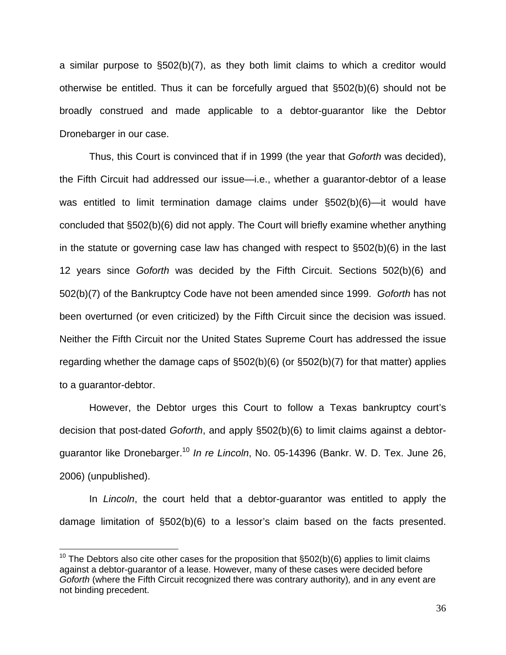a similar purpose to §502(b)(7), as they both limit claims to which a creditor would otherwise be entitled. Thus it can be forcefully argued that §502(b)(6) should not be broadly construed and made applicable to a debtor-guarantor like the Debtor Dronebarger in our case.

 Thus, this Court is convinced that if in 1999 (the year that *Goforth* was decided), the Fifth Circuit had addressed our issue—i.e., whether a guarantor-debtor of a lease was entitled to limit termination damage claims under §502(b)(6)—it would have concluded that §502(b)(6) did not apply. The Court will briefly examine whether anything in the statute or governing case law has changed with respect to  $\S502(b)(6)$  in the last 12 years since *Goforth* was decided by the Fifth Circuit. Sections 502(b)(6) and 502(b)(7) of the Bankruptcy Code have not been amended since 1999. *Goforth* has not been overturned (or even criticized) by the Fifth Circuit since the decision was issued. Neither the Fifth Circuit nor the United States Supreme Court has addressed the issue regarding whether the damage caps of §502(b)(6) (or §502(b)(7) for that matter) applies to a guarantor-debtor.

 However, the Debtor urges this Court to follow a Texas bankruptcy court's decision that post-dated *Goforth*, and apply §502(b)(6) to limit claims against a debtorguarantor like Dronebarger.<sup>10</sup> *In re Lincoln*, No. 05-14396 (Bankr. W. D. Tex. June 26, 2006) (unpublished).

 In *Lincoln*, the court held that a debtor-guarantor was entitled to apply the damage limitation of §502(b)(6) to a lessor's claim based on the facts presented.

<sup>&</sup>lt;sup>10</sup> The Debtors also cite other cases for the proposition that  $\S502(b)(6)$  applies to limit claims against a debtor-guarantor of a lease. However, many of these cases were decided before *Goforth* (where the Fifth Circuit recognized there was contrary authority)*,* and in any event are not binding precedent.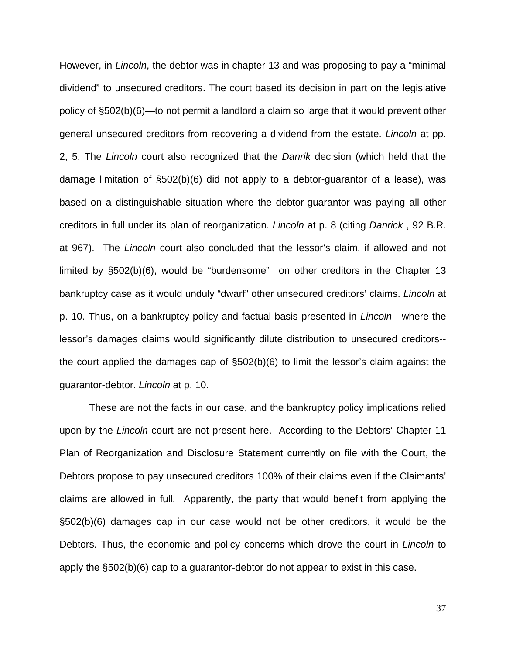However, in *Lincoln*, the debtor was in chapter 13 and was proposing to pay a "minimal dividend" to unsecured creditors. The court based its decision in part on the legislative policy of §502(b)(6)—to not permit a landlord a claim so large that it would prevent other general unsecured creditors from recovering a dividend from the estate. *Lincoln* at pp. 2, 5. The *Lincoln* court also recognized that the *Danrik* decision (which held that the damage limitation of §502(b)(6) did not apply to a debtor-guarantor of a lease), was based on a distinguishable situation where the debtor-guarantor was paying all other creditors in full under its plan of reorganization. *Lincoln* at p. 8 (citing *Danrick* , 92 B.R. at 967). The *Lincoln* court also concluded that the lessor's claim, if allowed and not limited by §502(b)(6), would be "burdensome" on other creditors in the Chapter 13 bankruptcy case as it would unduly "dwarf" other unsecured creditors' claims. *Lincoln* at p. 10. Thus, on a bankruptcy policy and factual basis presented in *Lincoln*—where the lessor's damages claims would significantly dilute distribution to unsecured creditors- the court applied the damages cap of §502(b)(6) to limit the lessor's claim against the guarantor-debtor. *Lincoln* at p. 10.

 These are not the facts in our case, and the bankruptcy policy implications relied upon by the *Lincoln* court are not present here. According to the Debtors' Chapter 11 Plan of Reorganization and Disclosure Statement currently on file with the Court, the Debtors propose to pay unsecured creditors 100% of their claims even if the Claimants' claims are allowed in full. Apparently, the party that would benefit from applying the §502(b)(6) damages cap in our case would not be other creditors, it would be the Debtors. Thus, the economic and policy concerns which drove the court in *Lincoln* to apply the §502(b)(6) cap to a guarantor-debtor do not appear to exist in this case.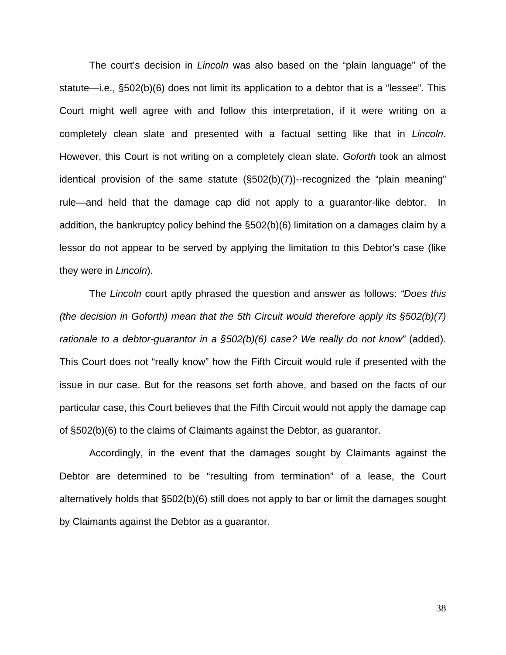The court's decision in *Lincoln* was also based on the "plain language" of the statute—i.e., §502(b)(6) does not limit its application to a debtor that is a "lessee". This Court might well agree with and follow this interpretation, if it were writing on a completely clean slate and presented with a factual setting like that in *Lincoln*. However, this Court is not writing on a completely clean slate. *Goforth* took an almost identical provision of the same statute (§502(b)(7))--recognized the "plain meaning" rule—and held that the damage cap did not apply to a guarantor-like debtor. In addition, the bankruptcy policy behind the §502(b)(6) limitation on a damages claim by a lessor do not appear to be served by applying the limitation to this Debtor's case (like they were in *Lincoln*).

 The *Lincoln* court aptly phrased the question and answer as follows: *"Does this (the decision in Goforth) mean that the 5th Circuit would therefore apply its §502(b)(7) rationale to a debtor-guarantor in a §502(b)(6) case? We really do not know"* (added). This Court does not "really know" how the Fifth Circuit would rule if presented with the issue in our case. But for the reasons set forth above, and based on the facts of our particular case, this Court believes that the Fifth Circuit would not apply the damage cap of §502(b)(6) to the claims of Claimants against the Debtor, as guarantor.

 Accordingly, in the event that the damages sought by Claimants against the Debtor are determined to be "resulting from termination" of a lease, the Court alternatively holds that §502(b)(6) still does not apply to bar or limit the damages sought by Claimants against the Debtor as a guarantor.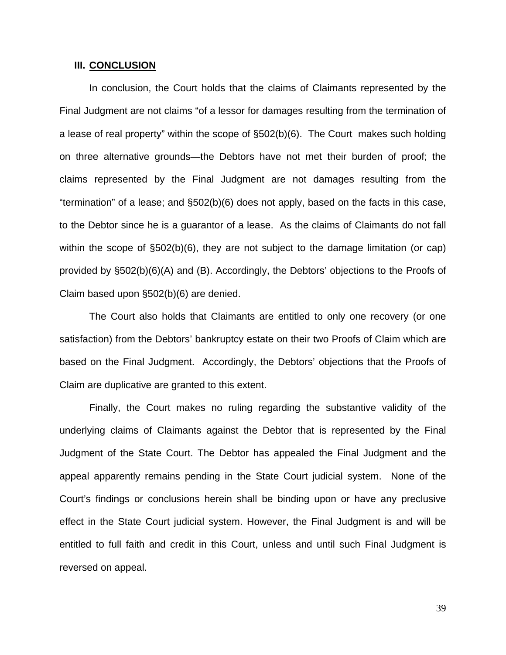#### **III. CONCLUSION**

 In conclusion, the Court holds that the claims of Claimants represented by the Final Judgment are not claims "of a lessor for damages resulting from the termination of a lease of real property" within the scope of §502(b)(6). The Court makes such holding on three alternative grounds—the Debtors have not met their burden of proof; the claims represented by the Final Judgment are not damages resulting from the "termination" of a lease; and §502(b)(6) does not apply, based on the facts in this case, to the Debtor since he is a guarantor of a lease. As the claims of Claimants do not fall within the scope of §502(b)(6), they are not subject to the damage limitation (or cap) provided by §502(b)(6)(A) and (B). Accordingly, the Debtors' objections to the Proofs of Claim based upon §502(b)(6) are denied.

 The Court also holds that Claimants are entitled to only one recovery (or one satisfaction) from the Debtors' bankruptcy estate on their two Proofs of Claim which are based on the Final Judgment. Accordingly, the Debtors' objections that the Proofs of Claim are duplicative are granted to this extent.

 Finally, the Court makes no ruling regarding the substantive validity of the underlying claims of Claimants against the Debtor that is represented by the Final Judgment of the State Court. The Debtor has appealed the Final Judgment and the appeal apparently remains pending in the State Court judicial system. None of the Court's findings or conclusions herein shall be binding upon or have any preclusive effect in the State Court judicial system. However, the Final Judgment is and will be entitled to full faith and credit in this Court, unless and until such Final Judgment is reversed on appeal.